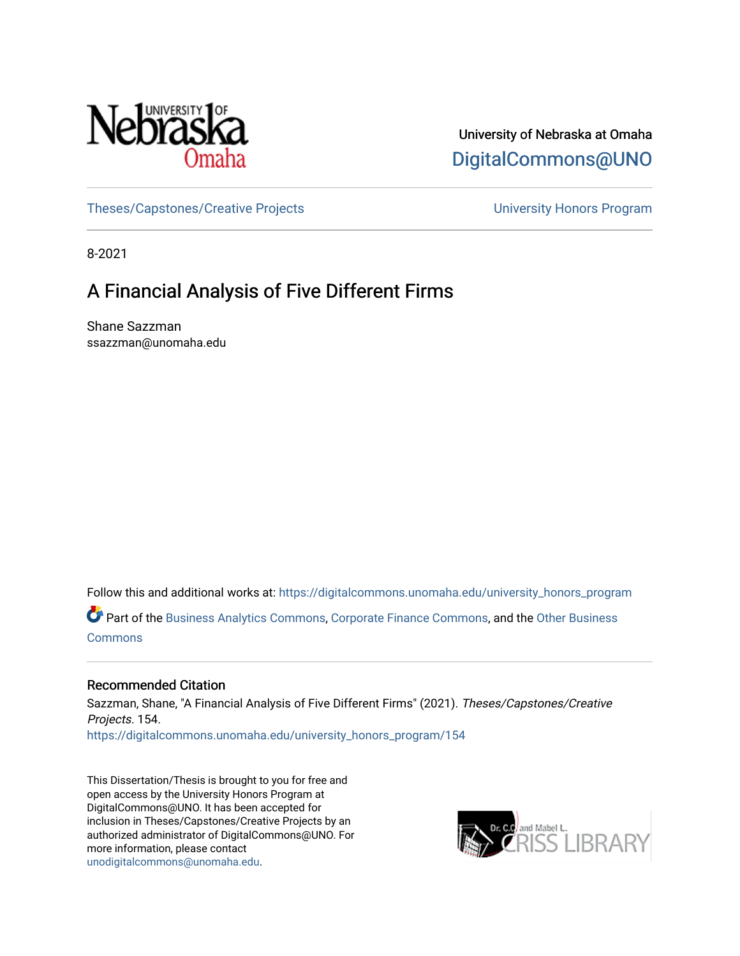

University of Nebraska at Omaha [DigitalCommons@UNO](https://digitalcommons.unomaha.edu/) 

[Theses/Capstones/Creative Projects](https://digitalcommons.unomaha.edu/university_honors_program) [University Honors Program](https://digitalcommons.unomaha.edu/honors_community) 

8-2021

## A Financial Analysis of Five Different Firms

Shane Sazzman ssazzman@unomaha.edu

Follow this and additional works at: [https://digitalcommons.unomaha.edu/university\\_honors\\_program](https://digitalcommons.unomaha.edu/university_honors_program?utm_source=digitalcommons.unomaha.edu%2Funiversity_honors_program%2F154&utm_medium=PDF&utm_campaign=PDFCoverPages)

Part of the [Business Analytics Commons](http://network.bepress.com/hgg/discipline/1398?utm_source=digitalcommons.unomaha.edu%2Funiversity_honors_program%2F154&utm_medium=PDF&utm_campaign=PDFCoverPages), [Corporate Finance Commons](http://network.bepress.com/hgg/discipline/629?utm_source=digitalcommons.unomaha.edu%2Funiversity_honors_program%2F154&utm_medium=PDF&utm_campaign=PDFCoverPages), and the [Other Business](http://network.bepress.com/hgg/discipline/647?utm_source=digitalcommons.unomaha.edu%2Funiversity_honors_program%2F154&utm_medium=PDF&utm_campaign=PDFCoverPages) **[Commons](http://network.bepress.com/hgg/discipline/647?utm_source=digitalcommons.unomaha.edu%2Funiversity_honors_program%2F154&utm_medium=PDF&utm_campaign=PDFCoverPages)** 

### Recommended Citation

Sazzman, Shane, "A Financial Analysis of Five Different Firms" (2021). Theses/Capstones/Creative Projects. 154. [https://digitalcommons.unomaha.edu/university\\_honors\\_program/154](https://digitalcommons.unomaha.edu/university_honors_program/154?utm_source=digitalcommons.unomaha.edu%2Funiversity_honors_program%2F154&utm_medium=PDF&utm_campaign=PDFCoverPages)

This Dissertation/Thesis is brought to you for free and open access by the University Honors Program at DigitalCommons@UNO. It has been accepted for inclusion in Theses/Capstones/Creative Projects by an authorized administrator of DigitalCommons@UNO. For more information, please contact [unodigitalcommons@unomaha.edu.](mailto:unodigitalcommons@unomaha.edu)

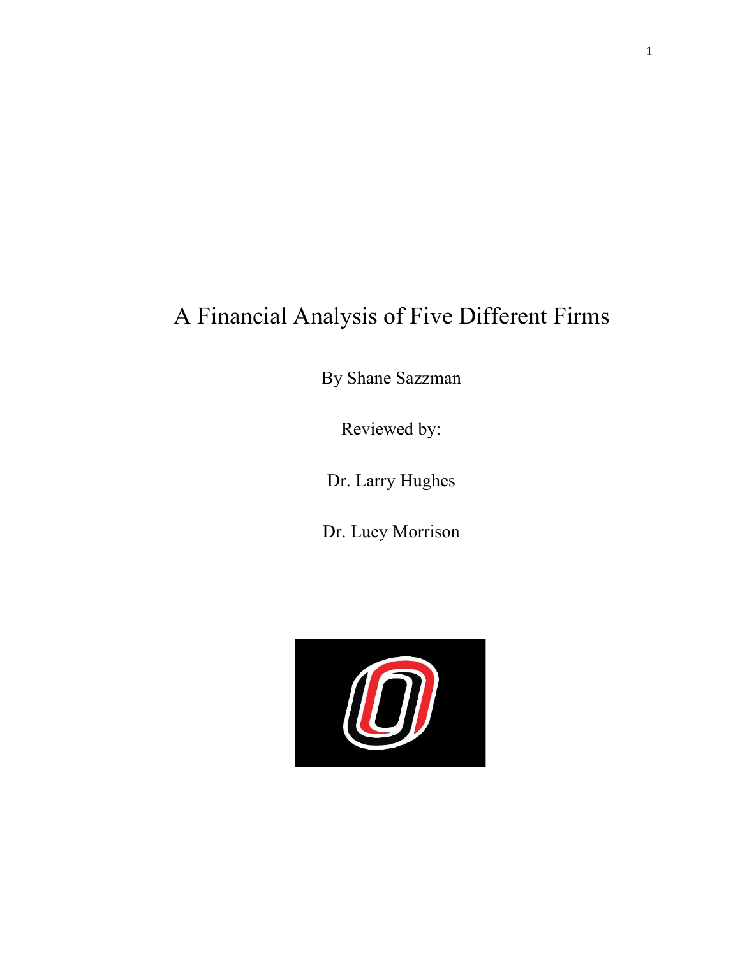# A Financial Analysis of Five Different Firms

By Shane Sazzman

Reviewed by:

Dr. Larry Hughes

Dr. Lucy Morrison

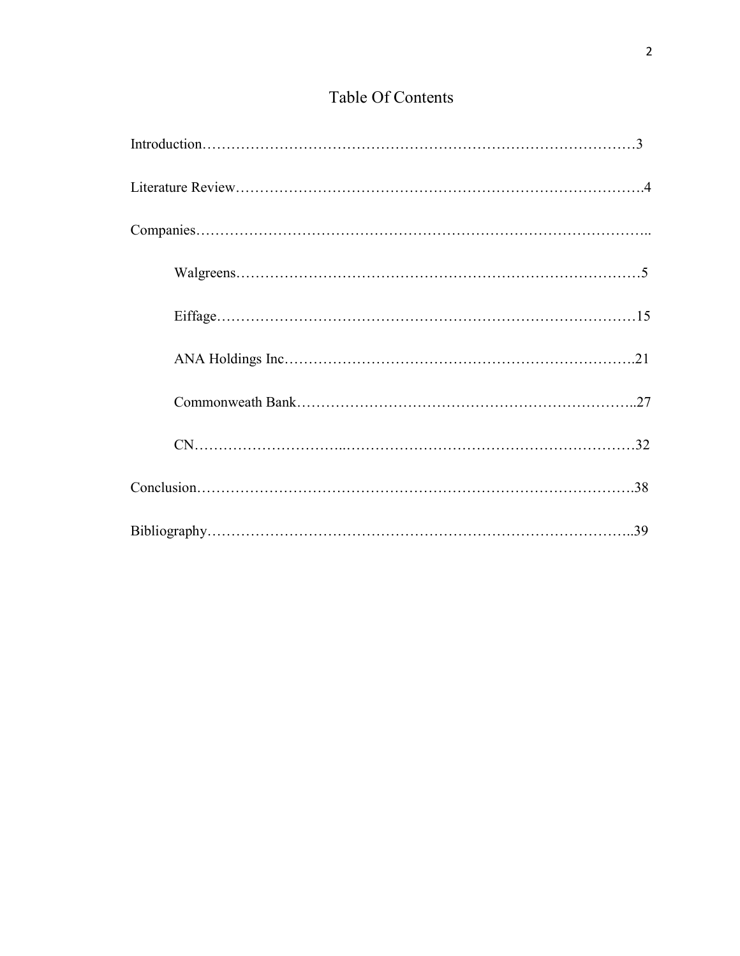### Table Of Contents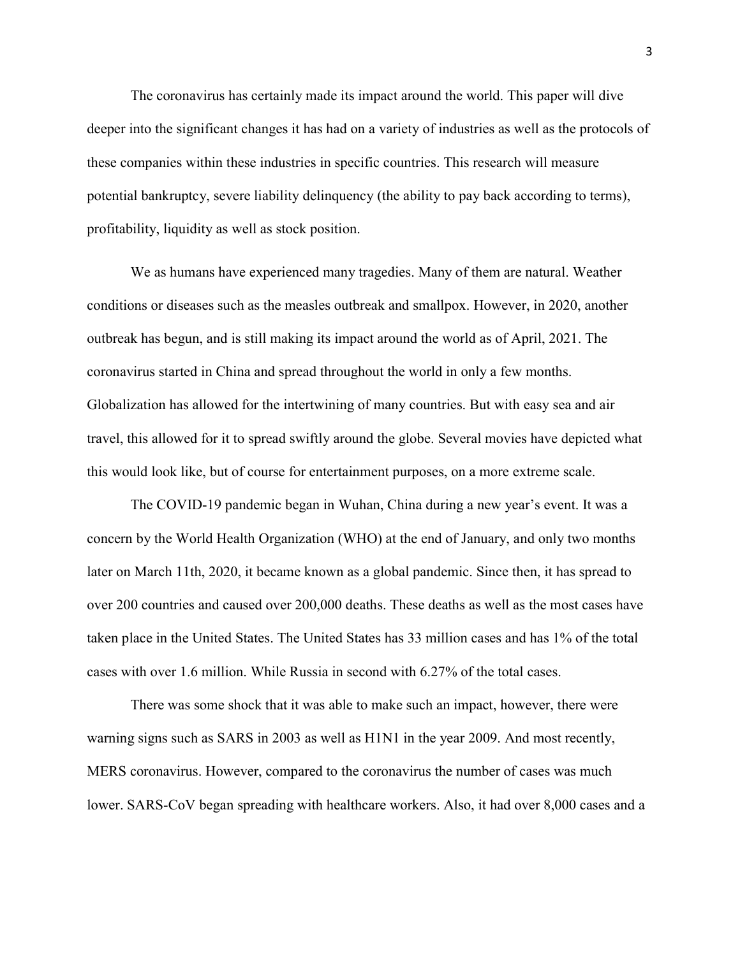The coronavirus has certainly made its impact around the world. This paper will dive deeper into the significant changes it has had on a variety of industries as well as the protocols of these companies within these industries in specific countries. This research will measure potential bankruptcy, severe liability delinquency (the ability to pay back according to terms), profitability, liquidity as well as stock position.

We as humans have experienced many tragedies. Many of them are natural. Weather conditions or diseases such as the measles outbreak and smallpox. However, in 2020, another outbreak has begun, and is still making its impact around the world as of April, 2021. The coronavirus started in China and spread throughout the world in only a few months. Globalization has allowed for the intertwining of many countries. But with easy sea and air travel, this allowed for it to spread swiftly around the globe. Several movies have depicted what this would look like, but of course for entertainment purposes, on a more extreme scale.

The COVID-19 pandemic began in Wuhan, China during a new year's event. It was a concern by the World Health Organization (WHO) at the end of January, and only two months later on March 11th, 2020, it became known as a global pandemic. Since then, it has spread to over 200 countries and caused over 200,000 deaths. These deaths as well as the most cases have taken place in the United States. The United States has 33 million cases and has 1% of the total cases with over 1.6 million. While Russia in second with 6.27% of the total cases.

There was some shock that it was able to make such an impact, however, there were warning signs such as SARS in 2003 as well as H1N1 in the year 2009. And most recently, MERS coronavirus. However, compared to the coronavirus the number of cases was much lower. SARS-CoV began spreading with healthcare workers. Also, it had over 8,000 cases and a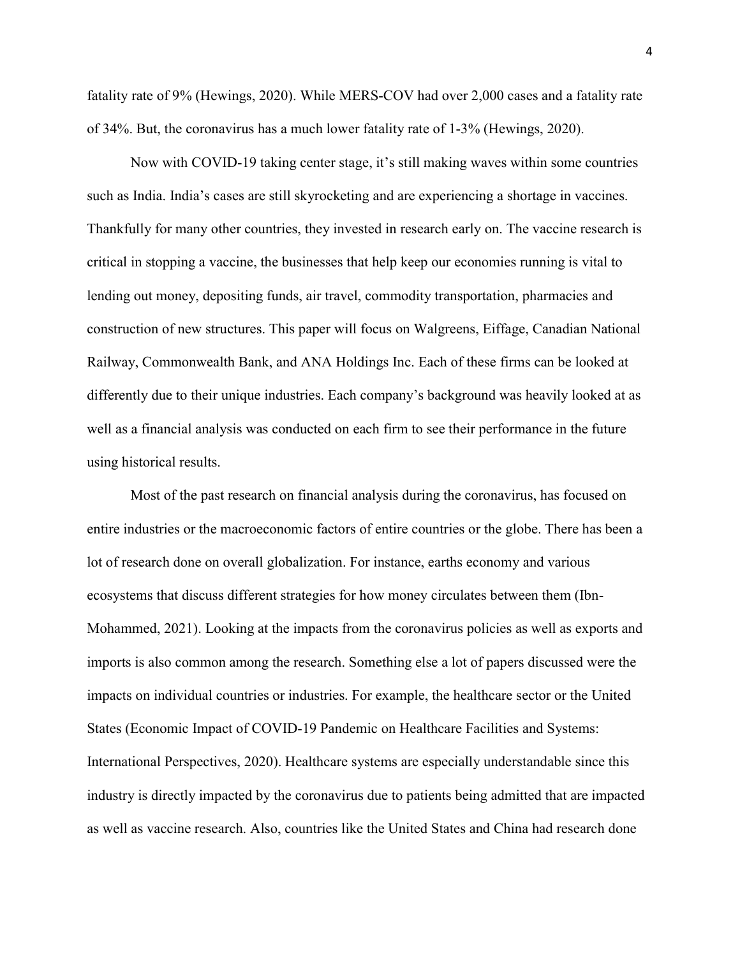fatality rate of 9% (Hewings, 2020). While MERS-COV had over 2,000 cases and a fatality rate of 34%. But, the coronavirus has a much lower fatality rate of 1-3% (Hewings, 2020).

Now with COVID-19 taking center stage, it's still making waves within some countries such as India. India's cases are still skyrocketing and are experiencing a shortage in vaccines. Thankfully for many other countries, they invested in research early on. The vaccine research is critical in stopping a vaccine, the businesses that help keep our economies running is vital to lending out money, depositing funds, air travel, commodity transportation, pharmacies and construction of new structures. This paper will focus on Walgreens, Eiffage, Canadian National Railway, Commonwealth Bank, and ANA Holdings Inc. Each of these firms can be looked at differently due to their unique industries. Each company's background was heavily looked at as well as a financial analysis was conducted on each firm to see their performance in the future using historical results.

Most of the past research on financial analysis during the coronavirus, has focused on entire industries or the macroeconomic factors of entire countries or the globe. There has been a lot of research done on overall globalization. For instance, earths economy and various ecosystems that discuss different strategies for how money circulates between them (Ibn-Mohammed, 2021). Looking at the impacts from the coronavirus policies as well as exports and imports is also common among the research. Something else a lot of papers discussed were the impacts on individual countries or industries. For example, the healthcare sector or the United States (Economic Impact of COVID-19 Pandemic on Healthcare Facilities and Systems: International Perspectives, 2020). Healthcare systems are especially understandable since this industry is directly impacted by the coronavirus due to patients being admitted that are impacted as well as vaccine research. Also, countries like the United States and China had research done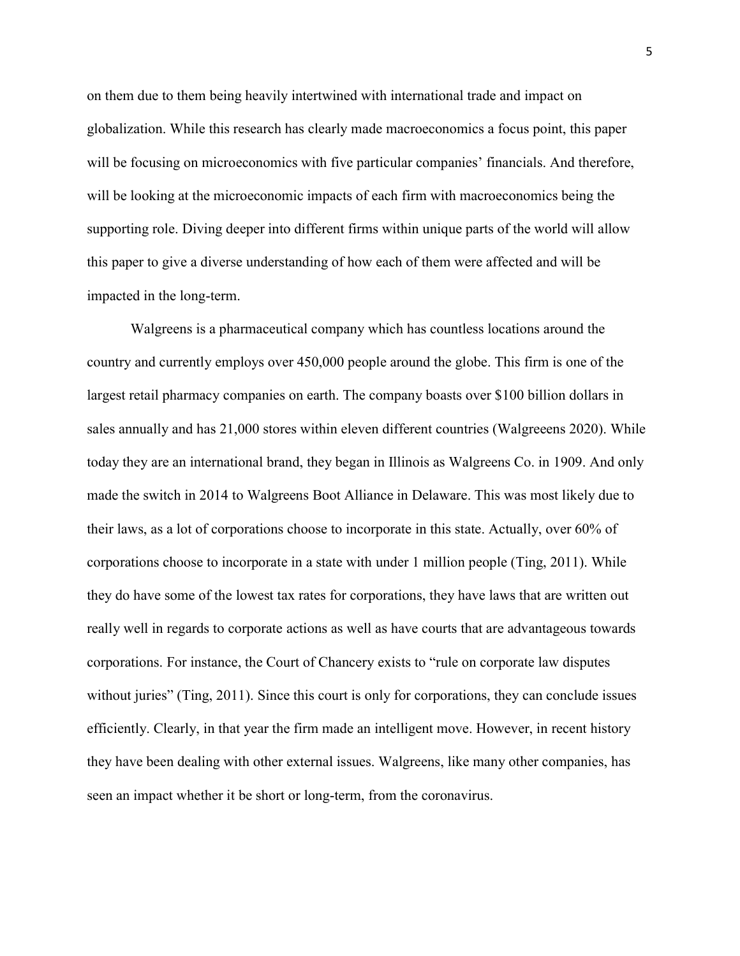on them due to them being heavily intertwined with international trade and impact on globalization. While this research has clearly made macroeconomics a focus point, this paper will be focusing on microeconomics with five particular companies' financials. And therefore, will be looking at the microeconomic impacts of each firm with macroeconomics being the supporting role. Diving deeper into different firms within unique parts of the world will allow this paper to give a diverse understanding of how each of them were affected and will be impacted in the long-term.

Walgreens is a pharmaceutical company which has countless locations around the country and currently employs over 450,000 people around the globe. This firm is one of the largest retail pharmacy companies on earth. The company boasts over \$100 billion dollars in sales annually and has 21,000 stores within eleven different countries (Walgreeens 2020). While today they are an international brand, they began in Illinois as Walgreens Co. in 1909. And only made the switch in 2014 to Walgreens Boot Alliance in Delaware. This was most likely due to their laws, as a lot of corporations choose to incorporate in this state. Actually, over 60% of corporations choose to incorporate in a state with under 1 million people (Ting, 2011). While they do have some of the lowest tax rates for corporations, they have laws that are written out really well in regards to corporate actions as well as have courts that are advantageous towards corporations. For instance, the Court of Chancery exists to "rule on corporate law disputes without juries" (Ting, 2011). Since this court is only for corporations, they can conclude issues efficiently. Clearly, in that year the firm made an intelligent move. However, in recent history they have been dealing with other external issues. Walgreens, like many other companies, has seen an impact whether it be short or long-term, from the coronavirus.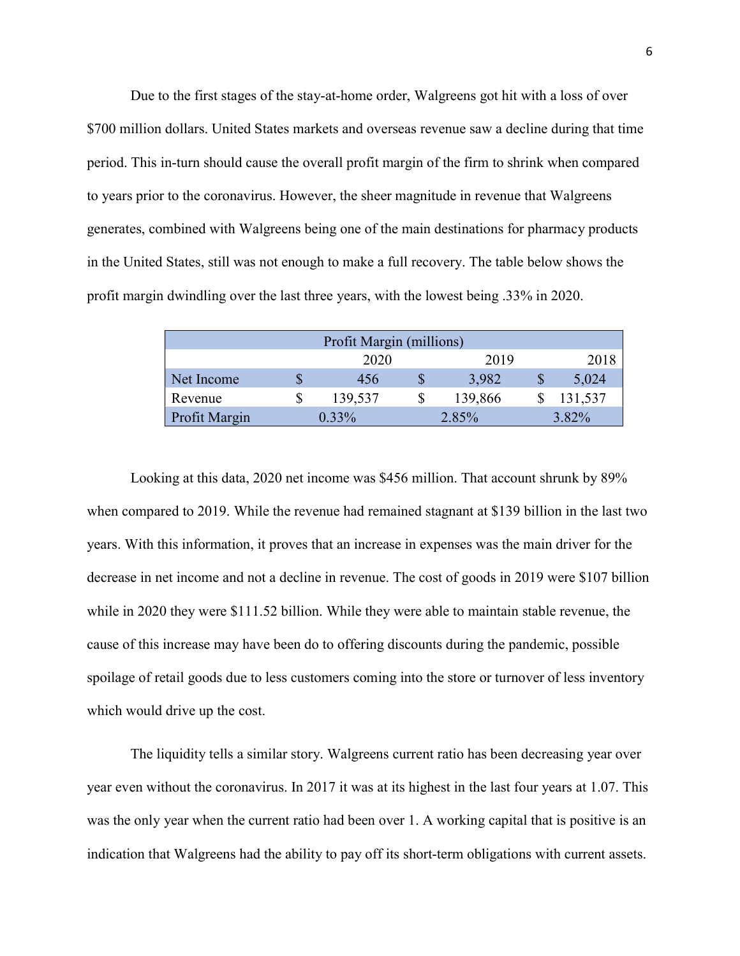Due to the first stages of the stay-at-home order, Walgreens got hit with a loss of over \$700 million dollars. United States markets and overseas revenue saw a decline during that time period. This in-turn should cause the overall profit margin of the firm to shrink when compared to years prior to the coronavirus. However, the sheer magnitude in revenue that Walgreens generates, combined with Walgreens being one of the main destinations for pharmacy products in the United States, still was not enough to make a full recovery. The table below shows the profit margin dwindling over the last three years, with the lowest being .33% in 2020.

|               | Profit Margin (millions) |               |         |
|---------------|--------------------------|---------------|---------|
|               | 2020                     | 2019          | 2018    |
| Net Income    | 456                      | 3,982         | 5,024   |
| Revenue       | \$<br>139,537            | \$<br>139,866 | 131,537 |
| Profit Margin | $0.33\%$                 | 2.85%         | 3.82%   |

 Looking at this data, 2020 net income was \$456 million. That account shrunk by 89% when compared to 2019. While the revenue had remained stagnant at \$139 billion in the last two years. With this information, it proves that an increase in expenses was the main driver for the decrease in net income and not a decline in revenue. The cost of goods in 2019 were \$107 billion while in 2020 they were \$111.52 billion. While they were able to maintain stable revenue, the cause of this increase may have been do to offering discounts during the pandemic, possible spoilage of retail goods due to less customers coming into the store or turnover of less inventory which would drive up the cost.

The liquidity tells a similar story. Walgreens current ratio has been decreasing year over year even without the coronavirus. In 2017 it was at its highest in the last four years at 1.07. This was the only year when the current ratio had been over 1. A working capital that is positive is an indication that Walgreens had the ability to pay off its short-term obligations with current assets.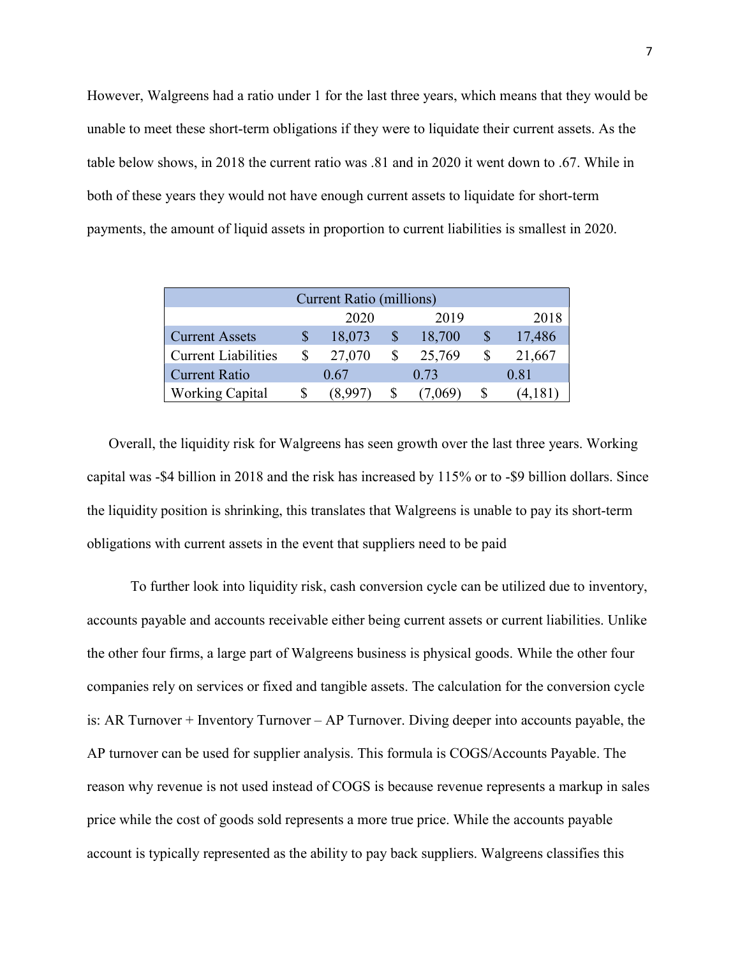However, Walgreens had a ratio under 1 for the last three years, which means that they would be unable to meet these short-term obligations if they were to liquidate their current assets. As the table below shows, in 2018 the current ratio was .81 and in 2020 it went down to .67. While in both of these years they would not have enough current assets to liquidate for short-term payments, the amount of liquid assets in proportion to current liabilities is smallest in 2020.

|                            | <b>Current Ratio (millions)</b> |        |        |
|----------------------------|---------------------------------|--------|--------|
|                            | 2020                            | 2019   | 2018   |
| <b>Current Assets</b>      | 18,073                          | 18,700 | 17,486 |
| <b>Current Liabilities</b> | 27,070                          | 25,769 | 21,667 |
| Current Ratio              | 0.67                            | 0.73   | 0.81   |
| <b>Working Capital</b>     |                                 |        |        |

Overall, the liquidity risk for Walgreens has seen growth over the last three years. Working capital was -\$4 billion in 2018 and the risk has increased by 115% or to -\$9 billion dollars. Since the liquidity position is shrinking, this translates that Walgreens is unable to pay its short-term obligations with current assets in the event that suppliers need to be paid

To further look into liquidity risk, cash conversion cycle can be utilized due to inventory, accounts payable and accounts receivable either being current assets or current liabilities. Unlike the other four firms, a large part of Walgreens business is physical goods. While the other four companies rely on services or fixed and tangible assets. The calculation for the conversion cycle is: AR Turnover + Inventory Turnover – AP Turnover. Diving deeper into accounts payable, the AP turnover can be used for supplier analysis. This formula is COGS/Accounts Payable. The reason why revenue is not used instead of COGS is because revenue represents a markup in sales price while the cost of goods sold represents a more true price. While the accounts payable account is typically represented as the ability to pay back suppliers. Walgreens classifies this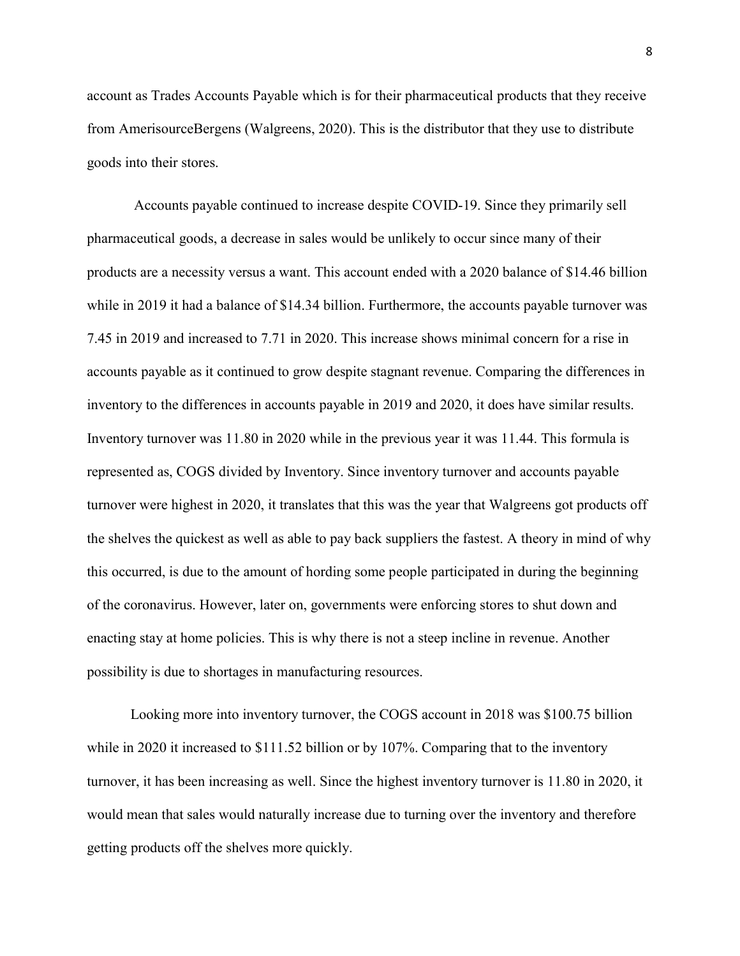account as Trades Accounts Payable which is for their pharmaceutical products that they receive from AmerisourceBergens (Walgreens, 2020). This is the distributor that they use to distribute goods into their stores.

 Accounts payable continued to increase despite COVID-19. Since they primarily sell pharmaceutical goods, a decrease in sales would be unlikely to occur since many of their products are a necessity versus a want. This account ended with a 2020 balance of \$14.46 billion while in 2019 it had a balance of \$14.34 billion. Furthermore, the accounts payable turnover was 7.45 in 2019 and increased to 7.71 in 2020. This increase shows minimal concern for a rise in accounts payable as it continued to grow despite stagnant revenue. Comparing the differences in inventory to the differences in accounts payable in 2019 and 2020, it does have similar results. Inventory turnover was 11.80 in 2020 while in the previous year it was 11.44. This formula is represented as, COGS divided by Inventory. Since inventory turnover and accounts payable turnover were highest in 2020, it translates that this was the year that Walgreens got products off the shelves the quickest as well as able to pay back suppliers the fastest. A theory in mind of why this occurred, is due to the amount of hording some people participated in during the beginning of the coronavirus. However, later on, governments were enforcing stores to shut down and enacting stay at home policies. This is why there is not a steep incline in revenue. Another possibility is due to shortages in manufacturing resources.

Looking more into inventory turnover, the COGS account in 2018 was \$100.75 billion while in 2020 it increased to \$111.52 billion or by 107%. Comparing that to the inventory turnover, it has been increasing as well. Since the highest inventory turnover is 11.80 in 2020, it would mean that sales would naturally increase due to turning over the inventory and therefore getting products off the shelves more quickly.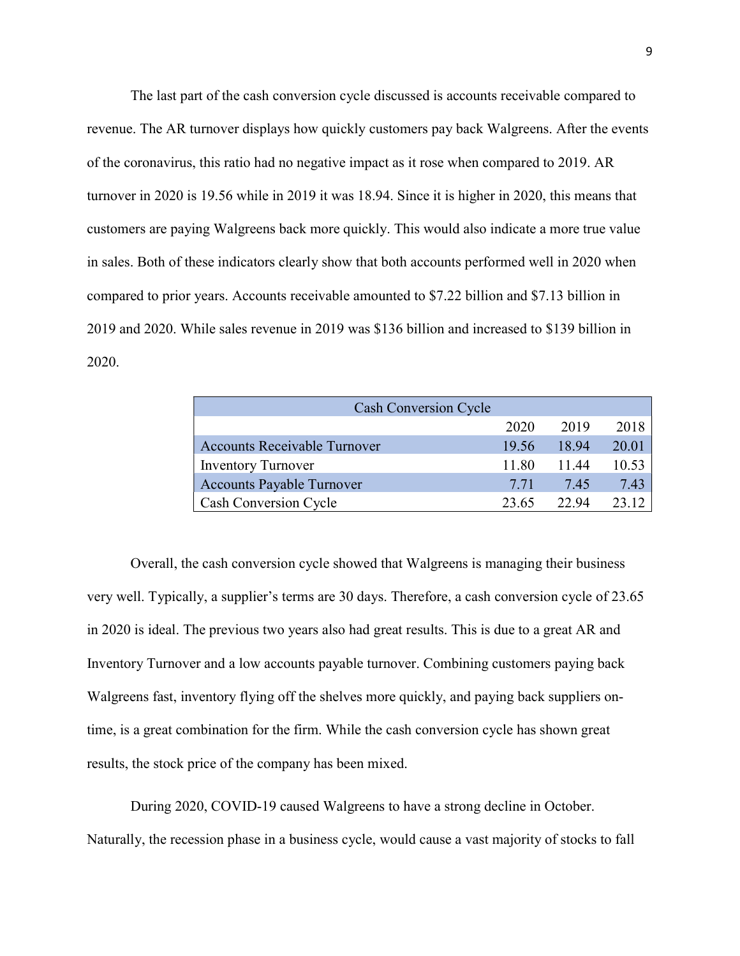The last part of the cash conversion cycle discussed is accounts receivable compared to revenue. The AR turnover displays how quickly customers pay back Walgreens. After the events of the coronavirus, this ratio had no negative impact as it rose when compared to 2019. AR turnover in 2020 is 19.56 while in 2019 it was 18.94. Since it is higher in 2020, this means that customers are paying Walgreens back more quickly. This would also indicate a more true value in sales. Both of these indicators clearly show that both accounts performed well in 2020 when compared to prior years. Accounts receivable amounted to \$7.22 billion and \$7.13 billion in 2019 and 2020. While sales revenue in 2019 was \$136 billion and increased to \$139 billion in 2020.

| <b>Cash Conversion Cycle</b>        |       |       |       |
|-------------------------------------|-------|-------|-------|
|                                     | 2020  | 2019  | 2018  |
| <b>Accounts Receivable Turnover</b> | 19.56 | 18.94 | 20.01 |
| <b>Inventory Turnover</b>           | 11.80 | 11.44 | 10.53 |
| <b>Accounts Payable Turnover</b>    | 7.71  | 7.45  | 7.43  |
| <b>Cash Conversion Cycle</b>        | 23.65 | 22.94 | 23.12 |

 Overall, the cash conversion cycle showed that Walgreens is managing their business very well. Typically, a supplier's terms are 30 days. Therefore, a cash conversion cycle of 23.65 in 2020 is ideal. The previous two years also had great results. This is due to a great AR and Inventory Turnover and a low accounts payable turnover. Combining customers paying back Walgreens fast, inventory flying off the shelves more quickly, and paying back suppliers ontime, is a great combination for the firm. While the cash conversion cycle has shown great results, the stock price of the company has been mixed.

 During 2020, COVID-19 caused Walgreens to have a strong decline in October. Naturally, the recession phase in a business cycle, would cause a vast majority of stocks to fall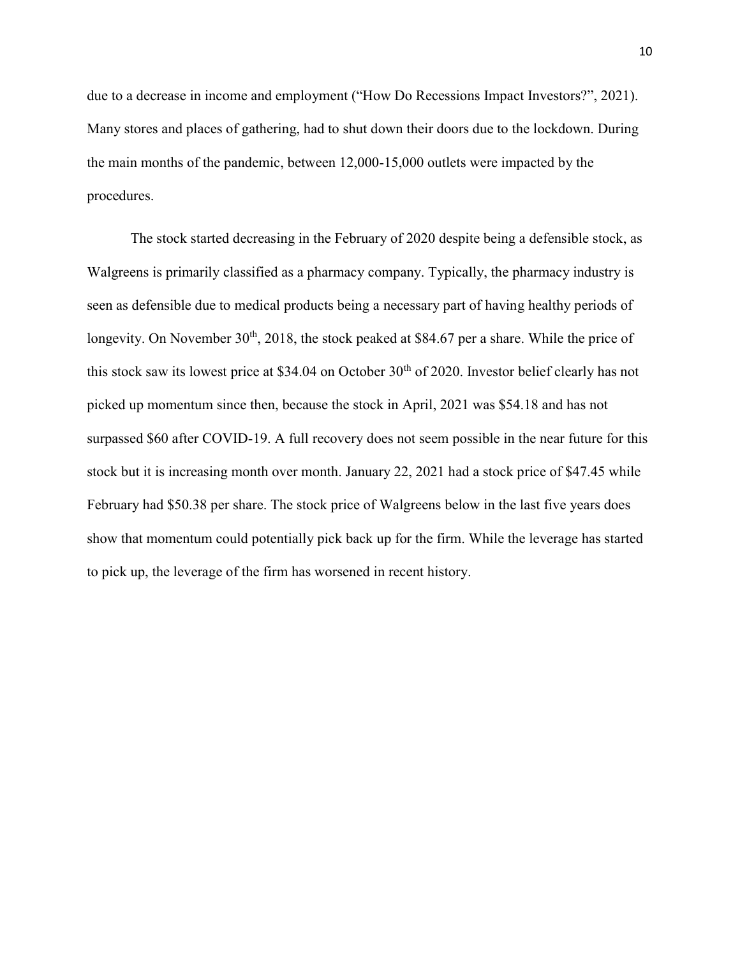due to a decrease in income and employment ("How Do Recessions Impact Investors?", 2021). Many stores and places of gathering, had to shut down their doors due to the lockdown. During the main months of the pandemic, between 12,000-15,000 outlets were impacted by the procedures.

The stock started decreasing in the February of 2020 despite being a defensible stock, as Walgreens is primarily classified as a pharmacy company. Typically, the pharmacy industry is seen as defensible due to medical products being a necessary part of having healthy periods of longevity. On November  $30<sup>th</sup>$ , 2018, the stock peaked at \$84.67 per a share. While the price of this stock saw its lowest price at \$34.04 on October 30<sup>th</sup> of 2020. Investor belief clearly has not picked up momentum since then, because the stock in April, 2021 was \$54.18 and has not surpassed \$60 after COVID-19. A full recovery does not seem possible in the near future for this stock but it is increasing month over month. January 22, 2021 had a stock price of \$47.45 while February had \$50.38 per share. The stock price of Walgreens below in the last five years does show that momentum could potentially pick back up for the firm. While the leverage has started to pick up, the leverage of the firm has worsened in recent history.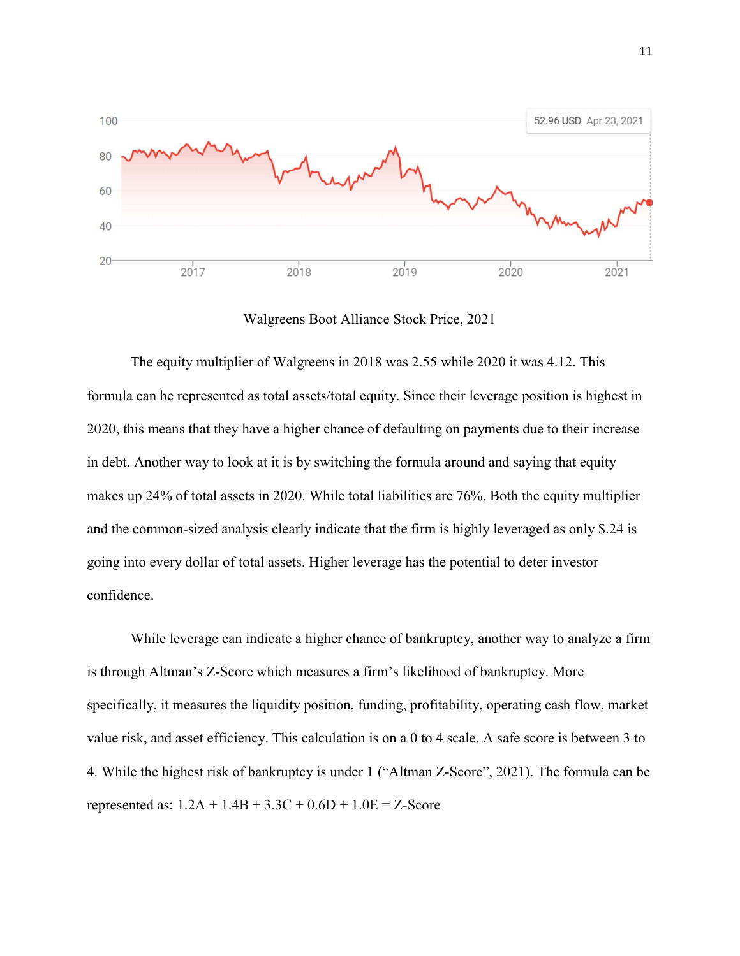

Walgreens Boot Alliance Stock Price, 2021

The equity multiplier of Walgreens in 2018 was 2.55 while 2020 it was 4.12. This formula can be represented as total assets/total equity. Since their leverage position is highest in 2020, this means that they have a higher chance of defaulting on payments due to their increase in debt. Another way to look at it is by switching the formula around and saying that equity makes up 24% of total assets in 2020. While total liabilities are 76%. Both the equity multiplier and the common-sized analysis clearly indicate that the firm is highly leveraged as only \$.24 is going into every dollar of total assets. Higher leverage has the potential to deter investor confidence.

While leverage can indicate a higher chance of bankruptcy, another way to analyze a firm is through Altman's Z-Score which measures a firm's likelihood of bankruptcy. More specifically, it measures the liquidity position, funding, profitability, operating cash flow, market value risk, and asset efficiency. This calculation is on a 0 to 4 scale. A safe score is between 3 to 4. While the highest risk of bankruptcy is under 1 ("Altman Z-Score", 2021). The formula can be represented as:  $1.2A + 1.4B + 3.3C + 0.6D + 1.0E = Z$ -Score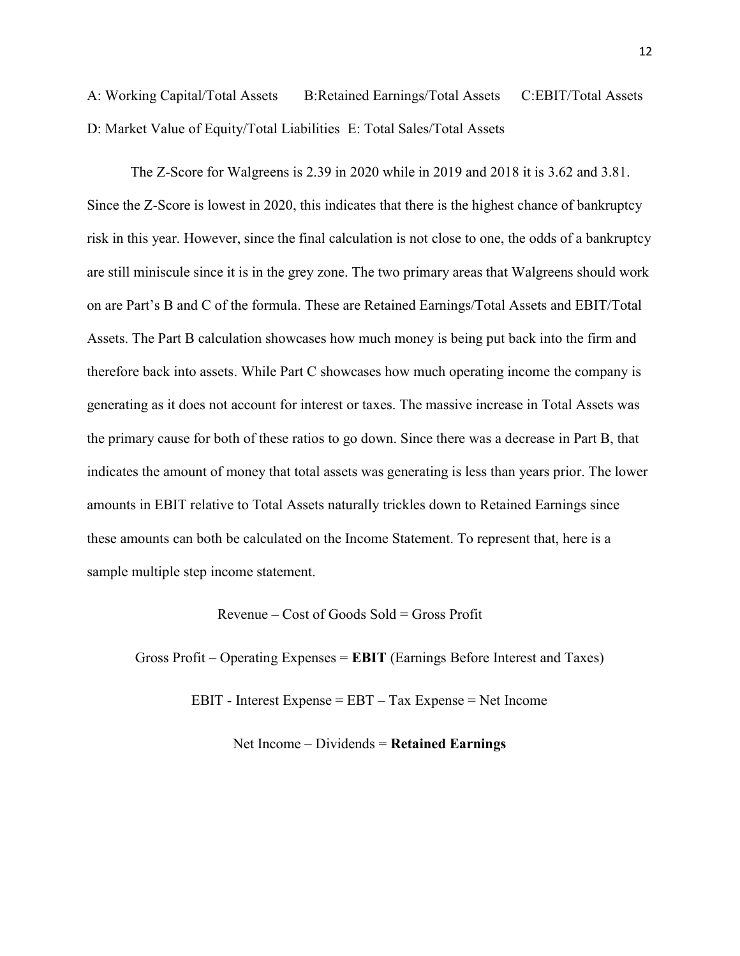A: Working Capital/Total Assets B:Retained Earnings/Total Assets C:EBIT/Total Assets D: Market Value of Equity/Total Liabilities E: Total Sales/Total Assets

The Z-Score for Walgreens is 2.39 in 2020 while in 2019 and 2018 it is 3.62 and 3.81. Since the Z-Score is lowest in 2020, this indicates that there is the highest chance of bankruptcy risk in this year. However, since the final calculation is not close to one, the odds of a bankruptcy are still miniscule since it is in the grey zone. The two primary areas that Walgreens should work on are Part's B and C of the formula. These are Retained Earnings/Total Assets and EBIT/Total Assets. The Part B calculation showcases how much money is being put back into the firm and therefore back into assets. While Part C showcases how much operating income the company is generating as it does not account for interest or taxes. The massive increase in Total Assets was the primary cause for both of these ratios to go down. Since there was a decrease in Part B, that indicates the amount of money that total assets was generating is less than years prior. The lower amounts in EBIT relative to Total Assets naturally trickles down to Retained Earnings since these amounts can both be calculated on the Income Statement. To represent that, here is a sample multiple step income statement.

Revenue – Cost of Goods Sold = Gross Profit

Gross Profit – Operating Expenses = EBIT (Earnings Before Interest and Taxes)

EBIT - Interest Expense = EBT – Tax Expense = Net Income

Net Income – Dividends  $=$  Retained Earnings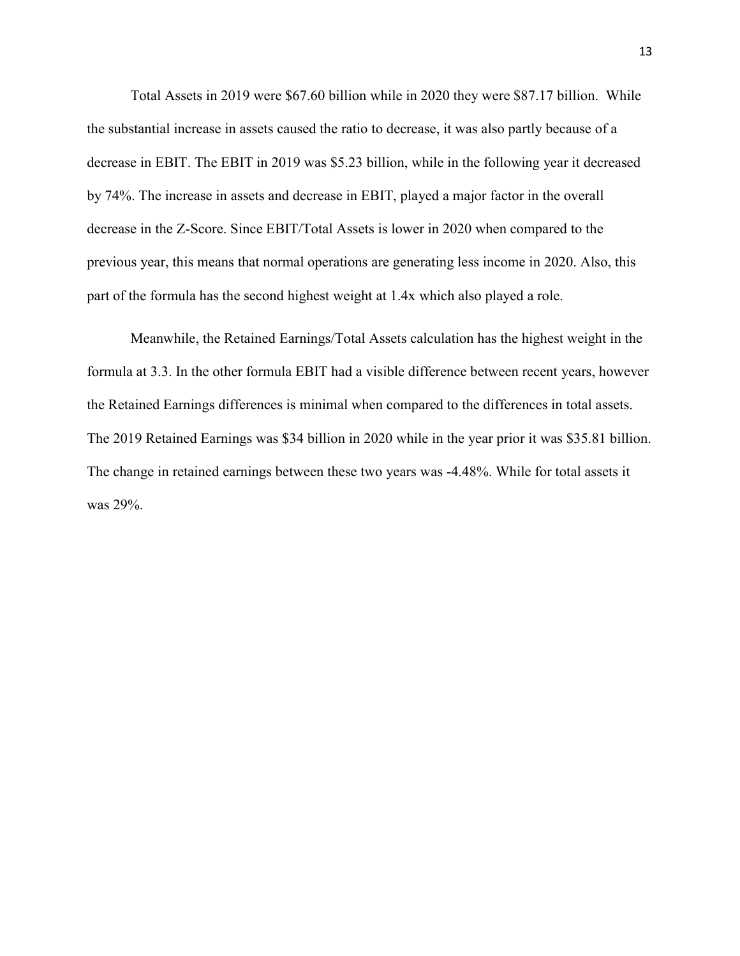Total Assets in 2019 were \$67.60 billion while in 2020 they were \$87.17 billion. While the substantial increase in assets caused the ratio to decrease, it was also partly because of a decrease in EBIT. The EBIT in 2019 was \$5.23 billion, while in the following year it decreased by 74%. The increase in assets and decrease in EBIT, played a major factor in the overall decrease in the Z-Score. Since EBIT/Total Assets is lower in 2020 when compared to the previous year, this means that normal operations are generating less income in 2020. Also, this part of the formula has the second highest weight at 1.4x which also played a role.

Meanwhile, the Retained Earnings/Total Assets calculation has the highest weight in the formula at 3.3. In the other formula EBIT had a visible difference between recent years, however the Retained Earnings differences is minimal when compared to the differences in total assets. The 2019 Retained Earnings was \$34 billion in 2020 while in the year prior it was \$35.81 billion. The change in retained earnings between these two years was -4.48%. While for total assets it was 29%.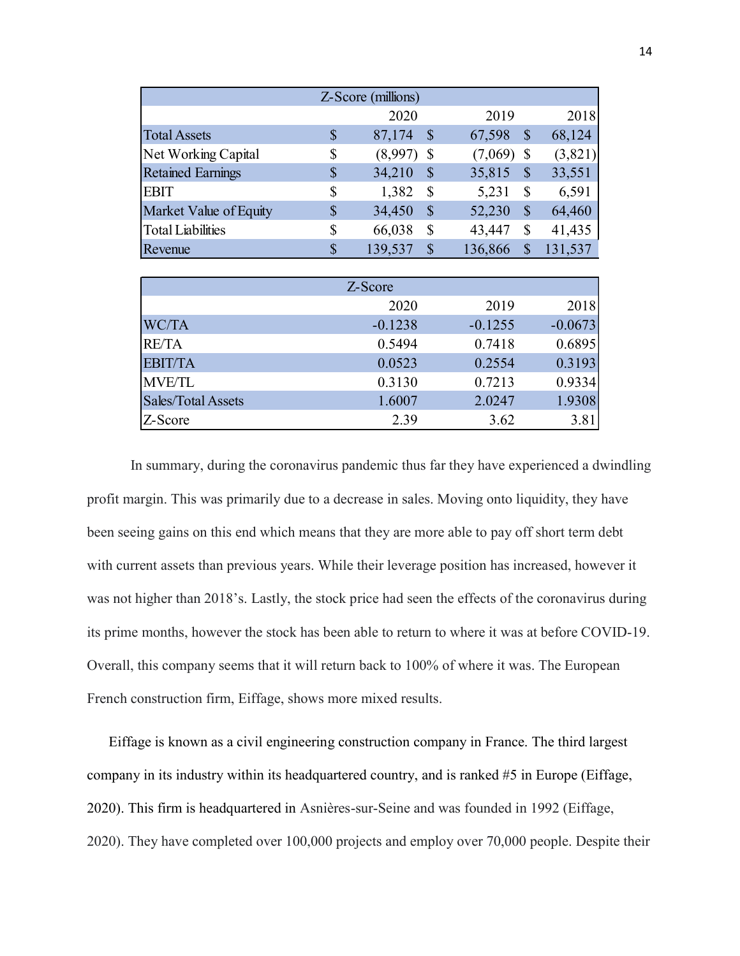|                               |                           | Z-Score (millions)<br>2020 |                           | 2019         |                            | 2018           |
|-------------------------------|---------------------------|----------------------------|---------------------------|--------------|----------------------------|----------------|
| <b>Total Assets</b>           | $\mathcal{S}$             | 87,174                     | $\boldsymbol{\mathsf{S}}$ | 67,598       | $\boldsymbol{\mathcal{S}}$ | 68,124         |
| Net Working Capital           | \$                        | $(8,997)$ \$               |                           | $(7,069)$ \$ |                            | (3,821)        |
| <b>Retained Earnings</b>      | $\boldsymbol{\mathsf{S}}$ | 34,210                     | $\boldsymbol{\mathsf{S}}$ | 35,815       | $\boldsymbol{\mathcal{S}}$ | 33,551         |
| <b>EBIT</b>                   | \$                        | 1,382                      | \$                        | 5,231        | $\boldsymbol{\mathsf{S}}$  | 6,591          |
| Market Value of Equity        | $\boldsymbol{\mathsf{S}}$ | 34,450                     | $\$$                      | 52,230       | $\boldsymbol{\mathcal{S}}$ | 64,460         |
| <b>Total Liabilities</b>      | \$                        | 66,038                     | \$                        | 43,447       | \$                         | 41,435         |
| Revenue                       | $\mathcal{S}$             | 139,537                    | $\boldsymbol{\mathsf{S}}$ | 136,866      | $\mathcal{S}$              | 131,537        |
|                               |                           |                            |                           |              |                            |                |
|                               |                           | Z-Score                    |                           |              |                            |                |
|                               |                           | 2020                       |                           | 2019         |                            | 2018           |
| WC/TA                         |                           | $-0.1238$                  |                           | $-0.1255$    |                            | $-0.0673$      |
| RE/TA                         |                           | 0.5494                     |                           | 0.7418       |                            | 0.6895         |
| <b>EBIT/TA</b>                |                           | 0.0523                     |                           | 0.2554       |                            | 0.3193         |
|                               |                           | 0.3130                     |                           | 0.7213       |                            | 0.9334         |
| <b>MVE/TL</b>                 |                           | 1.6007                     |                           | 2.0247       |                            | 1.9308<br>3.81 |
| Sales/Total Assets<br>Z-Score |                           | 2.39                       |                           | 3.62         |                            |                |

| In summary, during the coronavirus pandemic thus far they have experienced a dwindling             |
|----------------------------------------------------------------------------------------------------|
| profit margin. This was primarily due to a decrease in sales. Moving onto liquidity, they have     |
| been seeing gains on this end which means that they are more able to pay off short term debt       |
| with current assets than previous years. While their leverage position has increased, however it   |
| was not higher than 2018's. Lastly, the stock price had seen the effects of the coronavirus during |
| its prime months, however the stock has been able to return to where it was at before COVID-19.    |
| Overall, this company seems that it will return back to 100% of where it was. The European         |
| French construction firm, Eiffage, shows more mixed results.                                       |

Eiffage is known as a civil engineering construction company in France. The third largest company in its industry within its headquartered country, and is ranked #5 in Europe (Eiffage, 2020). This firm is headquartered in Asnières-sur-Seine and was founded in 1992 (Eiffage, 2020). They have completed over 100,000 projects and employ over 70,000 people. Despite their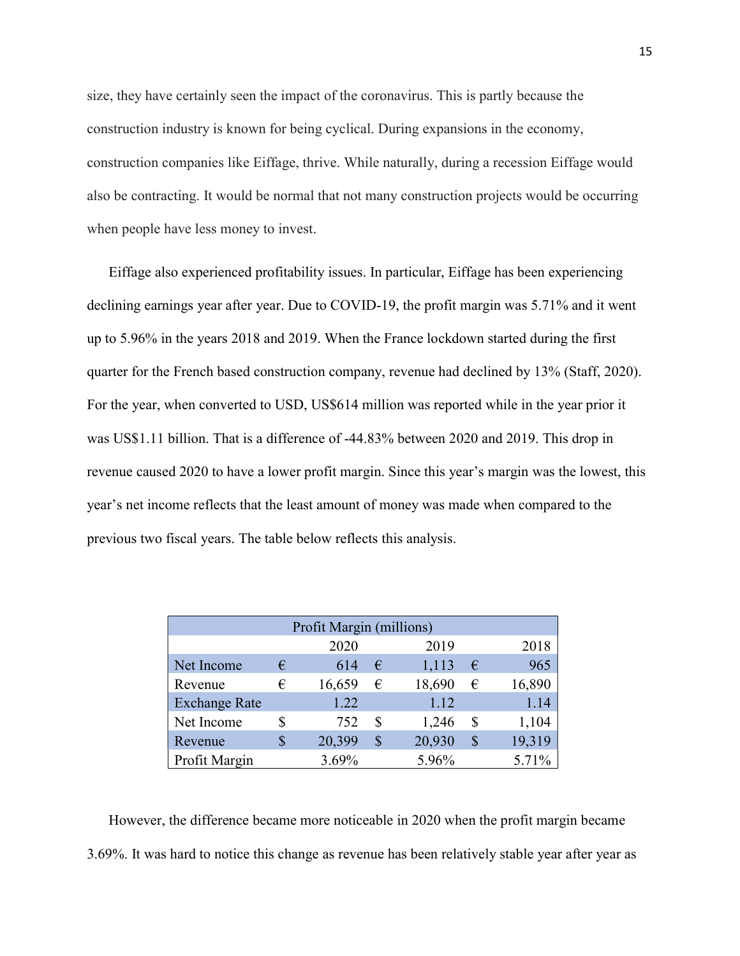size, they have certainly seen the impact of the coronavirus. This is partly because the construction industry is known for being cyclical. During expansions in the economy, construction companies like Eiffage, thrive. While naturally, during a recession Eiffage would also be contracting. It would be normal that not many construction projects would be occurring when people have less money to invest.

Eiffage also experienced profitability issues. In particular, Eiffage has been experiencing declining earnings year after year. Due to COVID-19, the profit margin was 5.71% and it went up to 5.96% in the years 2018 and 2019. When the France lockdown started during the first quarter for the French based construction company, revenue had declined by 13% (Staff, 2020). For the year, when converted to USD, US\$614 million was reported while in the year prior it was US\$1.11 billion. That is a difference of -44.83% between 2020 and 2019. This drop in revenue caused 2020 to have a lower profit margin. Since this year's margin was the lowest, this year's net income reflects that the least amount of money was made when compared to the previous two fiscal years. The table below reflects this analysis.

|                      |    | Profit Margin (millions) |                    |        |    |        |
|----------------------|----|--------------------------|--------------------|--------|----|--------|
|                      |    | 2020                     |                    | 2019   |    | 2018   |
| Net Income           | €  | 614                      | €                  | 1,113  | €  | 965    |
| Revenue              | €  | 16,659                   | €                  | 18,690 | €  | 16,890 |
| <b>Exchange Rate</b> |    | 1.22                     |                    | 1.12   |    | 1.14   |
| Net Income           | S  | 752                      | S                  | 1,246  | S  | 1,104  |
| Revenue              | \$ | 20,399                   | $\boldsymbol{\$\}$ | 20,930 | \$ | 19,319 |
| Profit Margin        |    | 3.69%                    |                    | 5.96%  |    | 5.71%  |

However, the difference became more noticeable in 2020 when the profit margin became 3.69%. It was hard to notice this change as revenue has been relatively stable year after year as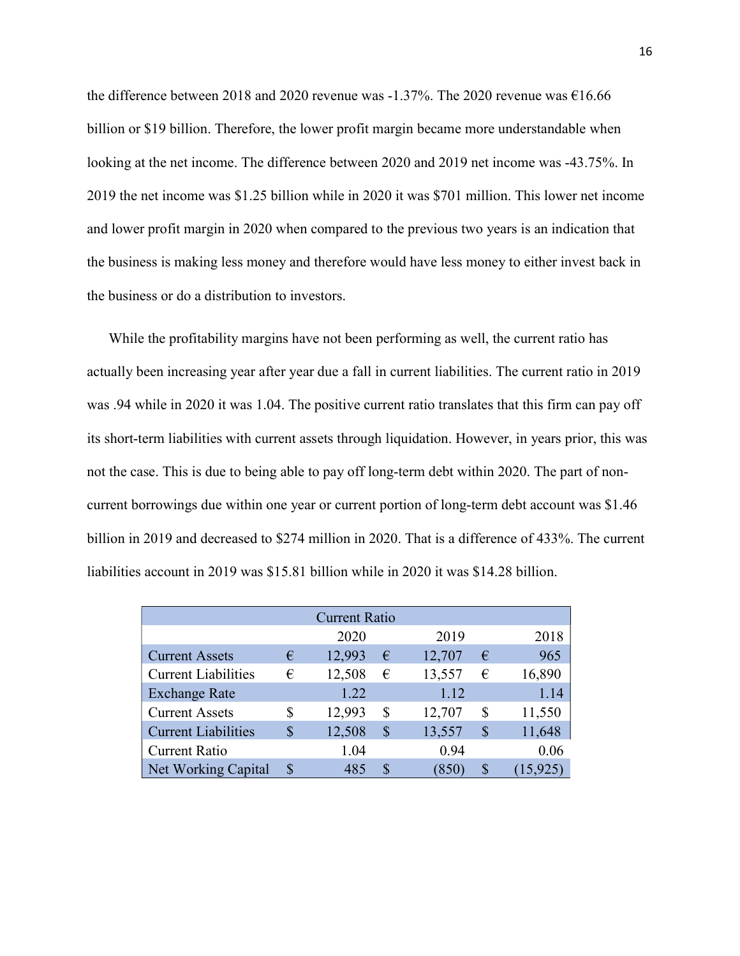the difference between 2018 and 2020 revenue was  $-1.37\%$ . The 2020 revenue was  $\epsilon$ 16.66 billion or \$19 billion. Therefore, the lower profit margin became more understandable when looking at the net income. The difference between 2020 and 2019 net income was -43.75%. In 2019 the net income was \$1.25 billion while in 2020 it was \$701 million. This lower net income and lower profit margin in 2020 when compared to the previous two years is an indication that the business is making less money and therefore would have less money to either invest back in the business or do a distribution to investors.

While the profitability margins have not been performing as well, the current ratio has actually been increasing year after year due a fall in current liabilities. The current ratio in 2019 was .94 while in 2020 it was 1.04. The positive current ratio translates that this firm can pay off its short-term liabilities with current assets through liquidation. However, in years prior, this was not the case. This is due to being able to pay off long-term debt within 2020. The part of noncurrent borrowings due within one year or current portion of long-term debt account was \$1.46 billion in 2019 and decreased to \$274 million in 2020. That is a difference of 433%. The current liabilities account in 2019 was \$15.81 billion while in 2020 it was \$14.28 billion.

|                            |   | <b>Current Ratio</b> |    |                    |   |        |
|----------------------------|---|----------------------|----|--------------------|---|--------|
|                            |   | 2020                 |    | 2019               |   | 2018   |
| <b>Current Assets</b>      | € | 12,993               | €  | 12,707             | € | 965    |
| <b>Current Liabilities</b> | € | 12,508               | €  | 13,557             | € | 16,890 |
| <b>Exchange Rate</b>       |   | 1.22                 |    | 1.12               |   | 1.14   |
| <b>Current Assets</b>      | S | 12,993               | \$ | 12,707             | S | 11,550 |
| <b>Current Liabilities</b> | S | 12,508               | \$ | 13,557             | S | 11,648 |
| <b>Current Ratio</b>       |   | 1.04                 |    | 0.94               |   | 0.06   |
| Net Working Capital        | S | 485                  | S. | $\left(850\right)$ | S | 15,925 |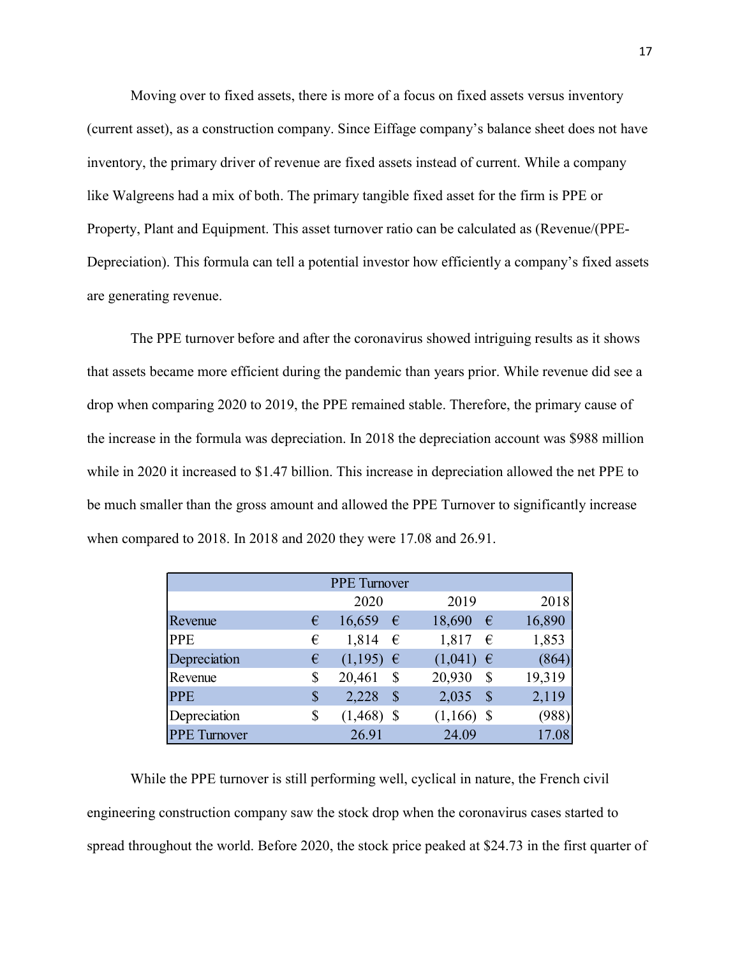Moving over to fixed assets, there is more of a focus on fixed assets versus inventory (current asset), as a construction company. Since Eiffage company's balance sheet does not have inventory, the primary driver of revenue are fixed assets instead of current. While a company like Walgreens had a mix of both. The primary tangible fixed asset for the firm is PPE or Property, Plant and Equipment. This asset turnover ratio can be calculated as (Revenue/(PPE-Depreciation). This formula can tell a potential investor how efficiently a company's fixed assets are generating revenue.

 The PPE turnover before and after the coronavirus showed intriguing results as it shows that assets became more efficient during the pandemic than years prior. While revenue did see a drop when comparing 2020 to 2019, the PPE remained stable. Therefore, the primary cause of the increase in the formula was depreciation. In 2018 the depreciation account was \$988 million while in 2020 it increased to \$1.47 billion. This increase in depreciation allowed the net PPE to be much smaller than the gross amount and allowed the PPE Turnover to significantly increase when compared to 2018. In 2018 and 2020 they were 17.08 and 26.91. coronavirus showed intriguing results as it shows<br>andemic than years prior. While revenue did see a<br>remained stable. Therefore, the primary cause of<br>in 2018 the depreciation account was \$988 million<br>is increase in depreci PE turnover before and after the coronavirus showed intriguing results as it shows<br>
ame more efficient during the pandemic than years prior. While revenue did see a<br>
mparing 2020 to 2019, the PPE remained stable. Therefo E turnover before and after the coronavirus showed intriguing results as it shows<br>
ame more efficient during the pandemic than years prior. While revenue did see a<br>
paparing 2020 to 2019, the PPE remained stable. Therefor ame more efficient during the pandemic than years prior. While revenue did see a<br>mparing 2020 to 2019, the PPE remained stable. Therefore, the primary cause of<br>the formula was depreciation. In 2018 the depreciation alcowd ame more efficient during the pandemic than years prior. While revenue did sec a<br>mparing 2020 to 2019, the PPE remained stable. Therefore, the primary cause of<br>the formula was depreciation. In 2018 the depreciation accoun mparing 2020 to 2019, the PPE remained stable. Therefore, the primary cause of<br>the formula was depreciation. In 2018 the depreciation account was \$988 million<br>it increased to \$1.47 billion. This increase in depreciation a

| n the formula was depreciation. In 2018 the depreciation account was \$988 million<br>) it increased to \$1.47 billion. This increase in depreciation allowed the net PPE to<br>Iler than the gross amount and allowed the PPE Turnover to significantly increase<br>red to 2018. In 2018 and 2020 they were 17.08 and 26.91. |    |                     |               |        |
|-------------------------------------------------------------------------------------------------------------------------------------------------------------------------------------------------------------------------------------------------------------------------------------------------------------------------------|----|---------------------|---------------|--------|
|                                                                                                                                                                                                                                                                                                                               |    |                     |               |        |
|                                                                                                                                                                                                                                                                                                                               |    |                     |               |        |
|                                                                                                                                                                                                                                                                                                                               |    |                     |               |        |
|                                                                                                                                                                                                                                                                                                                               |    |                     |               |        |
|                                                                                                                                                                                                                                                                                                                               |    | <b>PPE</b> Turnover |               |        |
|                                                                                                                                                                                                                                                                                                                               |    | 2020                | 2019          | 2018   |
| Revenue                                                                                                                                                                                                                                                                                                                       | €  | 16,659 $\epsilon$   | 18,690 $\in$  | 16,890 |
| <b>PPE</b>                                                                                                                                                                                                                                                                                                                    | €  | 1,814 $\in$         | 1,817<br>€    | 1,853  |
| Depreciation                                                                                                                                                                                                                                                                                                                  | €  | $(1,195) \in$       | $(1,041) \in$ | (864)  |
| Revenue                                                                                                                                                                                                                                                                                                                       | S  | 20,461<br>- S       | 20,930 \$     | 19,319 |
| <b>PPE</b>                                                                                                                                                                                                                                                                                                                    | S. | $2,228$ \$          | $2,035$ \$    | 2,119  |
| Depreciation                                                                                                                                                                                                                                                                                                                  | \$ | $(1,468)$ \$        | $(1,166)$ \$  | (988)  |
| <b>PPE</b> Turnover                                                                                                                                                                                                                                                                                                           |    | 26.91               | 24.09         | 17.08  |

 While the PPE turnover is still performing well, cyclical in nature, the French civil engineering construction company saw the stock drop when the coronavirus cases started to spread throughout the world. Before 2020, the stock price peaked at \$24.73 in the first quarter of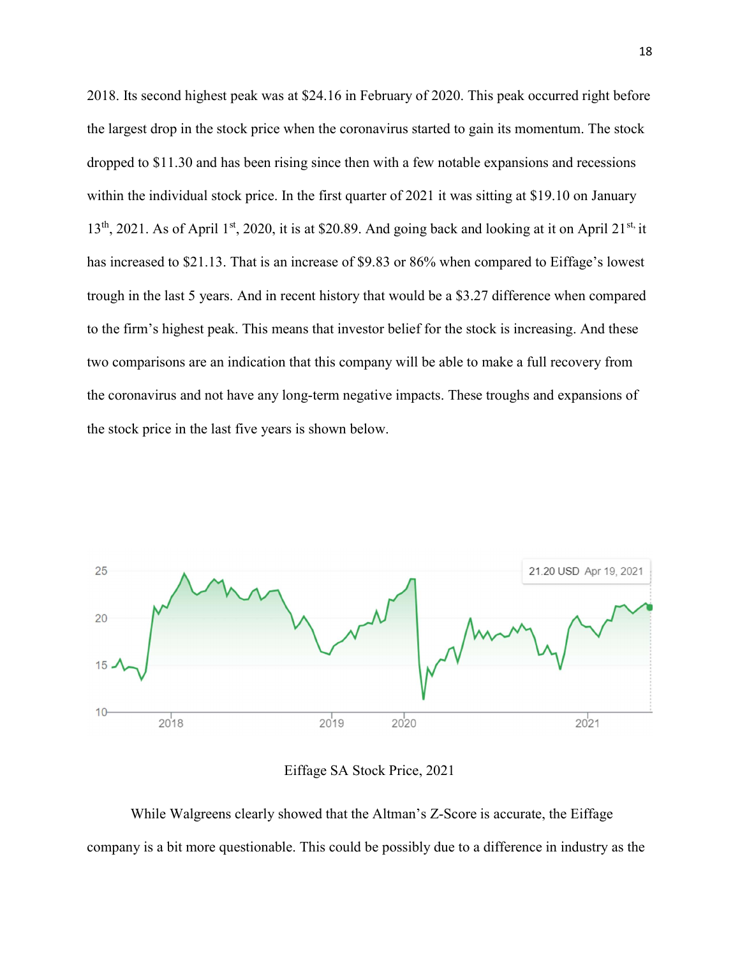2018. Its second highest peak was at \$24.16 in February of 2020. This peak occurred right before the largest drop in the stock price when the coronavirus started to gain its momentum. The stock dropped to \$11.30 and has been rising since then with a few notable expansions and recessions within the individual stock price. In the first quarter of 2021 it was sitting at \$19.10 on January  $13<sup>th</sup>$ , 2021. As of April 1<sup>st</sup>, 2020, it is at \$20.89. And going back and looking at it on April 21<sup>st,</sup> it has increased to \$21.13. That is an increase of \$9.83 or 86% when compared to Eiffage's lowest trough in the last 5 years. And in recent history that would be a \$3.27 difference when compared to the firm's highest peak. This means that investor belief for the stock is increasing. And these two comparisons are an indication that this company will be able to make a full recovery from the coronavirus and not have any long-term negative impacts. These troughs and expansions of the stock price in the last five years is shown below.



Eiffage SA Stock Price, 2021

 While Walgreens clearly showed that the Altman's Z-Score is accurate, the Eiffage company is a bit more questionable. This could be possibly due to a difference in industry as the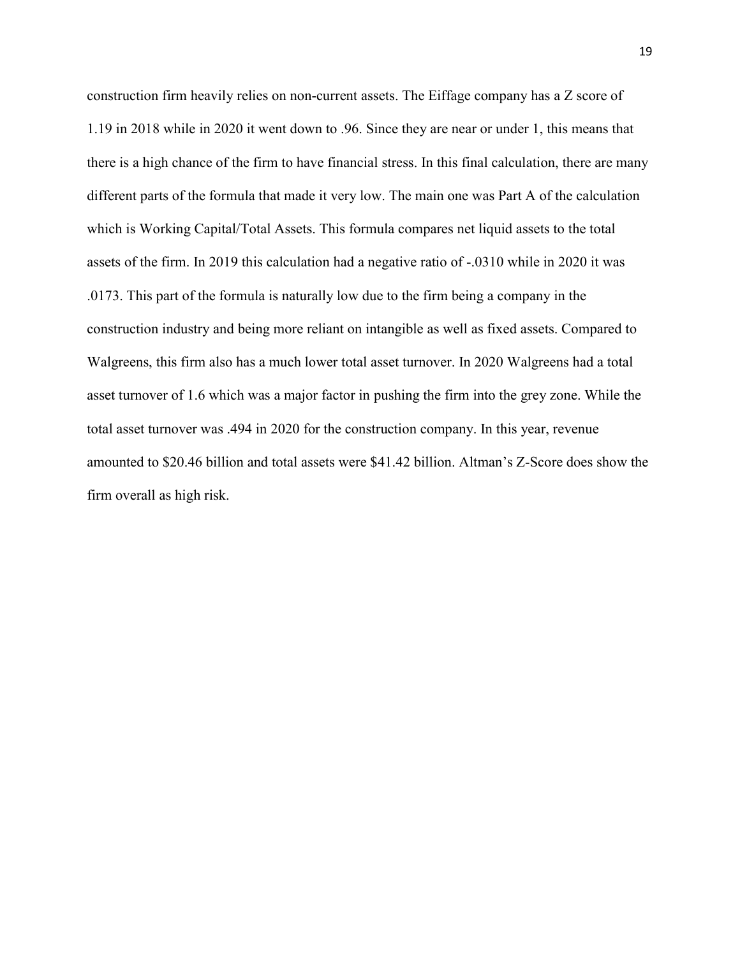construction firm heavily relies on non-current assets. The Eiffage company has a Z score of 1.19 in 2018 while in 2020 it went down to .96. Since they are near or under 1, this means that there is a high chance of the firm to have financial stress. In this final calculation, there are many different parts of the formula that made it very low. The main one was Part A of the calculation which is Working Capital/Total Assets. This formula compares net liquid assets to the total assets of the firm. In 2019 this calculation had a negative ratio of -.0310 while in 2020 it was .0173. This part of the formula is naturally low due to the firm being a company in the construction industry and being more reliant on intangible as well as fixed assets. Compared to Walgreens, this firm also has a much lower total asset turnover. In 2020 Walgreens had a total asset turnover of 1.6 which was a major factor in pushing the firm into the grey zone. While the total asset turnover was .494 in 2020 for the construction company. In this year, revenue amounted to \$20.46 billion and total assets were \$41.42 billion. Altman's Z-Score does show the firm overall as high risk.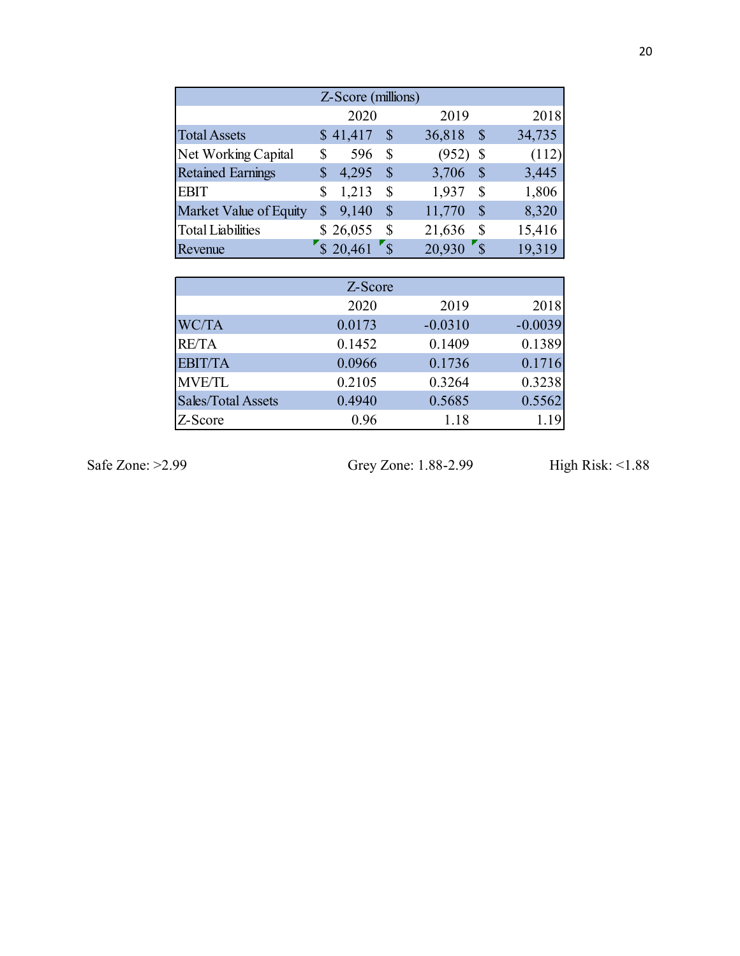|                          | Z-Score (millions)    |                            |                                      |                     |
|--------------------------|-----------------------|----------------------------|--------------------------------------|---------------------|
|                          | 2020                  |                            | 2019                                 | 2018                |
| <b>Total Assets</b>      | \$41,417              | $\boldsymbol{\mathsf{S}}$  | 36,818<br>$\boldsymbol{\mathcal{S}}$ | 34,735              |
| Net Working Capital      | \$<br>596             | $\boldsymbol{\mathsf{S}}$  | $(952)$ \$                           | (112)               |
| <b>Retained Earnings</b> | \$<br>4,295           | $\mathcal{S}$              | 3,706<br>$\boldsymbol{\mathcal{S}}$  | 3,445               |
| <b>EBIT</b>              | \$<br>1,213           | $\boldsymbol{\mathsf{S}}$  | 1,937<br>$\boldsymbol{\mathsf{S}}$   | 1,806               |
| Market Value of Equity   | 9,140<br>$\mathbb{S}$ | $\boldsymbol{\mathsf{S}}$  | 11,770<br>$\boldsymbol{\mathsf{S}}$  | 8,320               |
| <b>Total Liabilities</b> | \$26,055              | \$                         | $\mathbb{S}$<br>21,636               | 15,416              |
| Revenue                  | $\sqrt{\$}$ 20,461    | $\mathbf{r}_{\mathcal{S}}$ | $20,930$ s                           | 19,319              |
|                          | Z-Score               |                            |                                      |                     |
|                          | 2020                  |                            | 2019                                 | 2018                |
| WC/TA                    | 0.0173                |                            | $-0.0310$                            | $-0.0039$           |
| <b>RE/TA</b>             | 0.1452                |                            | 0.1409                               | 0.1389              |
| <b>EBIT/TA</b>           | 0.0966                |                            | 0.1736                               | 0.1716              |
| <b>MVE/TL</b>            | 0.2105                |                            | 0.3264                               | 0.3238              |
| Sales/Total Assets       | 0.4940                |                            | 0.5685                               | 0.5562              |
| Z-Score                  | 0.96                  |                            | 1.18                                 | 1.19                |
|                          |                       |                            |                                      |                     |
| 99                       |                       |                            | Grey Zone: 1.88-2.99                 | High Risk: $<$ 1.88 |
|                          |                       |                            |                                      |                     |

|                          | 2020                                               | 2019                    | 2018                   |
|--------------------------|----------------------------------------------------|-------------------------|------------------------|
| <b>Total Assets</b>      | \$41,417<br>$\mathbb{S}$                           | 36,818<br>$\mathcal{S}$ | 34,735                 |
| Net Working Capital      | $\mathcal{S}$<br>596<br>\$                         | $(952)$ \$              | (112)                  |
| <b>Retained Earnings</b> | 4,295<br>$\mathbb{S}$<br>$\boldsymbol{\mathsf{S}}$ | 3,706<br>$\mathcal{S}$  | 3,445                  |
| <b>EBIT</b>              | 1,213<br>\$<br>\$                                  | 1,937<br>$\mathbb{S}$   | 1,806                  |
| Market Value of Equity   | 9,140<br>$\mathbb{S}$<br>$\mathcal{S}$             | 11,770<br>$\mathcal{S}$ | 8,320                  |
| <b>Total Liabilities</b> | \$26,055<br>\$                                     | 21,636<br>$\mathbb{S}$  | 15,416                 |
| Revenue                  | $520,461$ $s$                                      | $20,930$ s              | 19,319                 |
|                          |                                                    |                         |                        |
|                          | Z-Score                                            |                         |                        |
|                          | 2020                                               | 2019                    | 2018                   |
| WC/TA                    | 0.0173                                             | $-0.0310$               | $-0.0039$              |
| <b>RE/TA</b>             | 0.1452                                             | 0.1409                  | 0.1389                 |
| <b>EBIT/TA</b>           | 0.0966                                             | 0.1736                  | 0.1716                 |
| <b>MVE/TL</b>            | 0.2105                                             | 0.3264                  | 0.3238                 |
| Sales/Total Assets       | 0.4940                                             | 0.5685                  | 0.5562                 |
| Z-Score                  | 0.96                                               | 1.18                    | 1.19                   |
|                          |                                                    |                         |                        |
| 99                       |                                                    | Grey Zone: 1.88-2.99    | High Risk: $\leq$ 1.88 |
|                          |                                                    |                         |                        |
|                          |                                                    |                         |                        |

Safe Zone: >2.99 Grey Zone: 1.88-2.99 High Risk: <1.88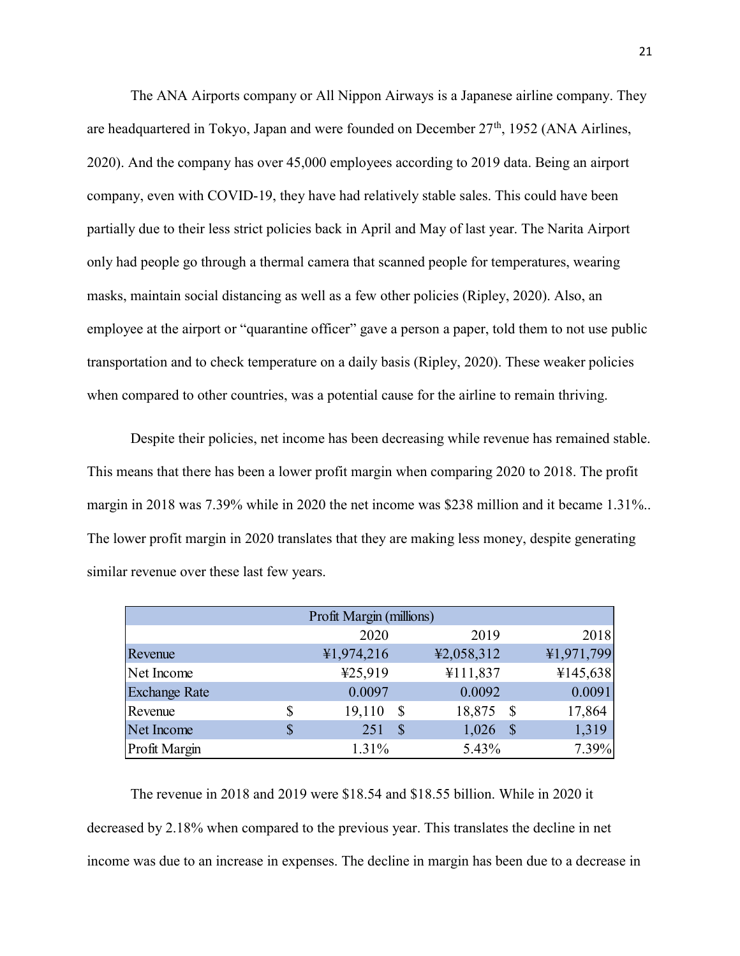The ANA Airports company or All Nippon Airways is a Japanese airline company. They are headquartered in Tokyo, Japan and were founded on December  $27<sup>th</sup>$ , 1952 (ANA Airlines, 2020). And the company has over 45,000 employees according to 2019 data. Being an airport company, even with COVID-19, they have had relatively stable sales. This could have been partially due to their less strict policies back in April and May of last year. The Narita Airport only had people go through a thermal camera that scanned people for temperatures, wearing masks, maintain social distancing as well as a few other policies (Ripley, 2020). Also, an employee at the airport or "quarantine officer" gave a person a paper, told them to not use public transportation and to check temperature on a daily basis (Ripley, 2020). These weaker policies when compared to other countries, was a potential cause for the airline to remain thriving.

Despite their policies, net income has been decreasing while revenue has remained stable. This means that there has been a lower profit margin when comparing 2020 to 2018. The profit margin in 2018 was 7.39% while in 2020 the net income was \$238 million and it became 1.31%.. The lower profit margin in 2020 translates that they are making less money, despite generating similar revenue over these last few years. gave a person a paper, told them to not use public<br>
iily basis (Ripley, 2020). These weaker policies<br>
tial cause for the airline to remain thriving.<br>
een decreasing while revenue has remained stable.<br>
nargin when comparing extrained to check temperature on a daily basis (Ripley, 2020). These weaker policies<br>
ompared to other countries, was a potential cause for the airline to remain thriving.<br>
Despite their policies, net income has been dec ortation and to check temperature on a daily basis (Kipley, 2020). These weaker policies<br>
ompared to other countries, was a potential cause for the airline to remain thriving.<br>
Despite their policies, net income has been ompared to other countries, was a potential cause for the airline to remain thriving.<br>
Despite their policies, net income has been decreasing while revenue has remained stable.<br>
cans that there has been a lower profit marg Expire to each countries, was a potential case for the unitric of candidating the profit<br>
Leans that there has been a lower profit margin when comparing 2020 to 2018. The profit<br>
in 2018 was 7.39% while in 2020 the net in Despite their policies, net income has been decreasing while revenue has remained stable.<br>
ears that there has been a lower profit margin when comparing 2020 to 2018. The profit<br>
in 2018 was 7.39% while in 2020 the net in

|                                                                                          |                          | Despite their policies, net income has been decreasing while revenue has remained stable. |            |
|------------------------------------------------------------------------------------------|--------------------------|-------------------------------------------------------------------------------------------|------------|
| neans that there has been a lower profit margin when comparing 2020 to 2018. The profit  |                          |                                                                                           |            |
| i in 2018 was 7.39% while in 2020 the net income was \$238 million and it became 1.31%.  |                          |                                                                                           |            |
| wer profit margin in 2020 translates that they are making less money, despite generating |                          |                                                                                           |            |
| r revenue over these last few years.                                                     |                          |                                                                                           |            |
|                                                                                          | Profit Margin (millions) |                                                                                           |            |
|                                                                                          | 2020                     | 2019                                                                                      | 2018       |
| Revenue                                                                                  | ¥1,974,216               | ¥2,058,312                                                                                | 41,971,799 |
| Net Income                                                                               | ¥25,919                  | ¥111,837                                                                                  | ¥145,638   |
| <b>Exchange Rate</b>                                                                     | 0.0097                   | 0.0092                                                                                    | 0.0091     |
| Revenue                                                                                  | \$<br>$19,110$ \$        | 18,875 \$                                                                                 | 17,864     |
| Net Income                                                                               | \$<br>251S               | $1,026$ \$                                                                                | 1,319      |
| Profit Margin                                                                            | 1.31%                    | 5.43%                                                                                     | 7.39%      |

 The revenue in 2018 and 2019 were \$18.54 and \$18.55 billion. While in 2020 it decreased by 2.18% when compared to the previous year. This translates the decline in net income was due to an increase in expenses. The decline in margin has been due to a decrease in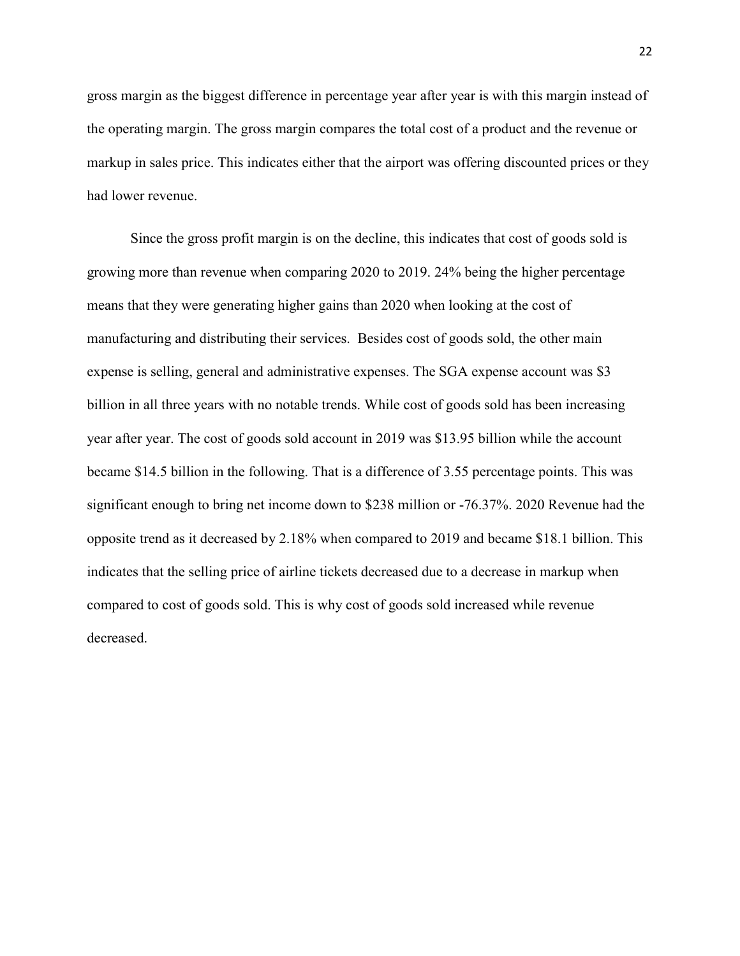gross margin as the biggest difference in percentage year after year is with this margin instead of the operating margin. The gross margin compares the total cost of a product and the revenue or markup in sales price. This indicates either that the airport was offering discounted prices or they had lower revenue.

 Since the gross profit margin is on the decline, this indicates that cost of goods sold is growing more than revenue when comparing 2020 to 2019. 24% being the higher percentage means that they were generating higher gains than 2020 when looking at the cost of manufacturing and distributing their services. Besides cost of goods sold, the other main expense is selling, general and administrative expenses. The SGA expense account was \$3 billion in all three years with no notable trends. While cost of goods sold has been increasing year after year. The cost of goods sold account in 2019 was \$13.95 billion while the account became \$14.5 billion in the following. That is a difference of 3.55 percentage points. This was significant enough to bring net income down to \$238 million or -76.37%. 2020 Revenue had the opposite trend as it decreased by 2.18% when compared to 2019 and became \$18.1 billion. This indicates that the selling price of airline tickets decreased due to a decrease in markup when compared to cost of goods sold. This is why cost of goods sold increased while revenue decreased.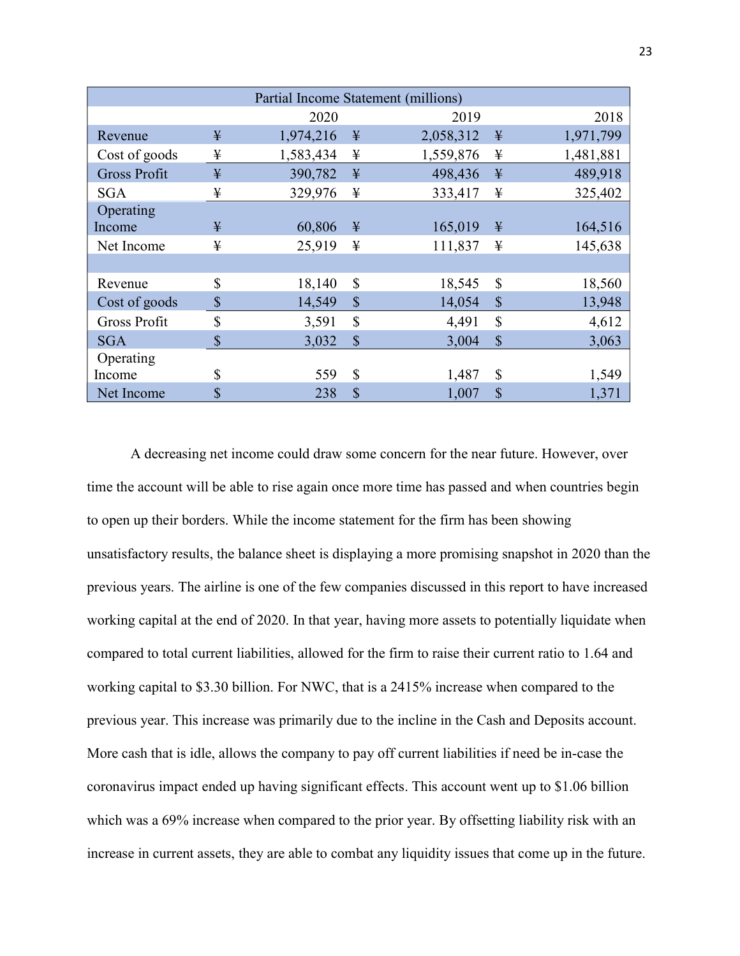|                     |    |           |               | Partial Income Statement (millions) |              |           |
|---------------------|----|-----------|---------------|-------------------------------------|--------------|-----------|
|                     |    | 2020      |               | 2019                                |              | 2018      |
| Revenue             | ¥  | 1,974,216 | ¥             | 2,058,312                           | ¥            | 1,971,799 |
| Cost of goods       | ¥  | 1,583,434 | ¥             | 1,559,876                           | ¥            | 1,481,881 |
| <b>Gross Profit</b> | ¥  | 390,782   | ¥             | 498,436                             | ¥            | 489,918   |
| SGA                 | ¥  | 329,976   | ¥             | 333,417                             | ¥            | 325,402   |
| Operating           |    |           |               |                                     |              |           |
| Income              | ¥  | 60,806    | ¥             | 165,019                             | ¥            | 164,516   |
| Net Income          | ¥  | 25,919    | ¥             | 111,837                             | ¥            | 145,638   |
|                     |    |           |               |                                     |              |           |
| Revenue             | \$ | 18,140    | $\mathbb{S}$  | 18,545                              | \$           | 18,560    |
| Cost of goods       | \$ | 14,549    | $\mathbb{S}$  | 14,054                              | \$           | 13,948    |
| <b>Gross Profit</b> | \$ | 3,591     | \$            | 4,491                               | \$           | 4,612     |
| <b>SGA</b>          | \$ | 3,032     | $\mathcal{S}$ | 3,004                               | $\mathbb{S}$ | 3,063     |
| Operating           |    |           |               |                                     |              |           |
| Income              | \$ | 559       | \$            | 1,487                               | \$           | 1,549     |
| Net Income          | \$ | 238       | S             | 1,007                               | \$           | 1,371     |

 A decreasing net income could draw some concern for the near future. However, over time the account will be able to rise again once more time has passed and when countries begin to open up their borders. While the income statement for the firm has been showing unsatisfactory results, the balance sheet is displaying a more promising snapshot in 2020 than the previous years. The airline is one of the few companies discussed in this report to have increased working capital at the end of 2020. In that year, having more assets to potentially liquidate when compared to total current liabilities, allowed for the firm to raise their current ratio to 1.64 and working capital to \$3.30 billion. For NWC, that is a 2415% increase when compared to the previous year. This increase was primarily due to the incline in the Cash and Deposits account. More cash that is idle, allows the company to pay off current liabilities if need be in-case the coronavirus impact ended up having significant effects. This account went up to \$1.06 billion which was a 69% increase when compared to the prior year. By offsetting liability risk with an increase in current assets, they are able to combat any liquidity issues that come up in the future.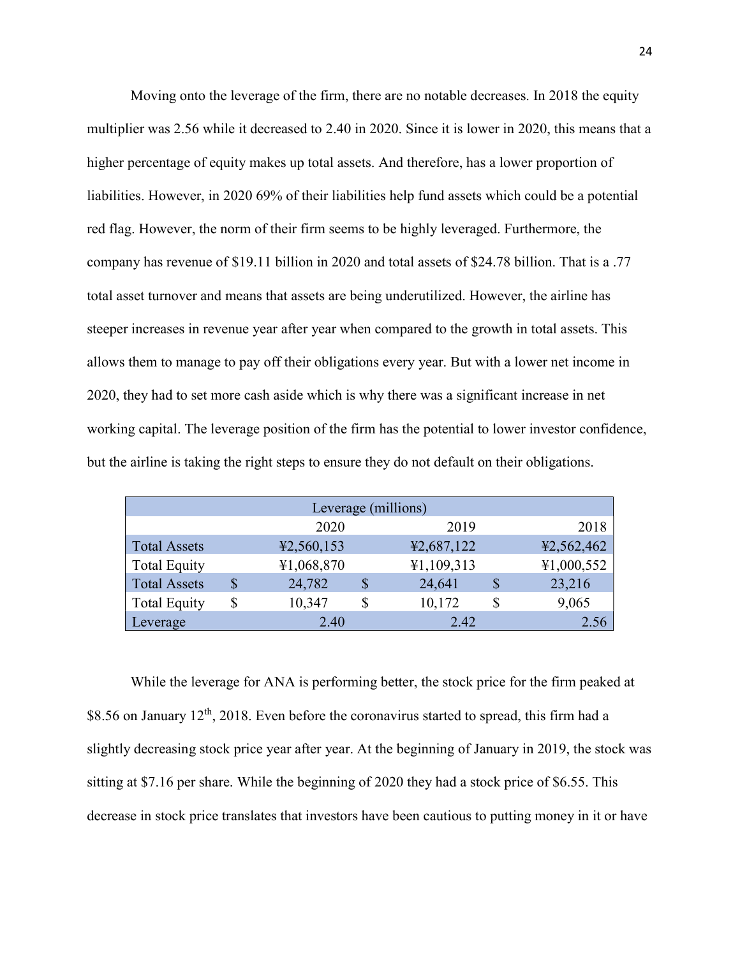Moving onto the leverage of the firm, there are no notable decreases. In 2018 the equity multiplier was 2.56 while it decreased to 2.40 in 2020. Since it is lower in 2020, this means that a higher percentage of equity makes up total assets. And therefore, has a lower proportion of liabilities. However, in 2020 69% of their liabilities help fund assets which could be a potential red flag. However, the norm of their firm seems to be highly leveraged. Furthermore, the company has revenue of \$19.11 billion in 2020 and total assets of \$24.78 billion. That is a .77 total asset turnover and means that assets are being underutilized. However, the airline has steeper increases in revenue year after year when compared to the growth in total assets. This allows them to manage to pay off their obligations every year. But with a lower net income in 2020, they had to set more cash aside which is why there was a significant increase in net working capital. The leverage position of the firm has the potential to lower investor confidence, but the airline is taking the right steps to ensure they do not default on their obligations.

|                     |              | Leverage (millions) |            |
|---------------------|--------------|---------------------|------------|
|                     | 2020         | 2019                | 2018       |
| <b>Total Assets</b> | 42,560,153   | 42,687,122          | ¥2,562,462 |
| <b>Total Equity</b> | ¥1,068,870   | 41,109,313          | ¥1,000,552 |
| <b>Total Assets</b> | \$<br>24,782 | 24,641              | 23,216     |
| <b>Total Equity</b> | \$<br>10,347 | 10,172              | 9,065      |
| Leverage            | 2.40         | 2.42                | 2.56       |

While the leverage for ANA is performing better, the stock price for the firm peaked at \$8.56 on January  $12<sup>th</sup>$ , 2018. Even before the coronavirus started to spread, this firm had a slightly decreasing stock price year after year. At the beginning of January in 2019, the stock was sitting at \$7.16 per share. While the beginning of 2020 they had a stock price of \$6.55. This decrease in stock price translates that investors have been cautious to putting money in it or have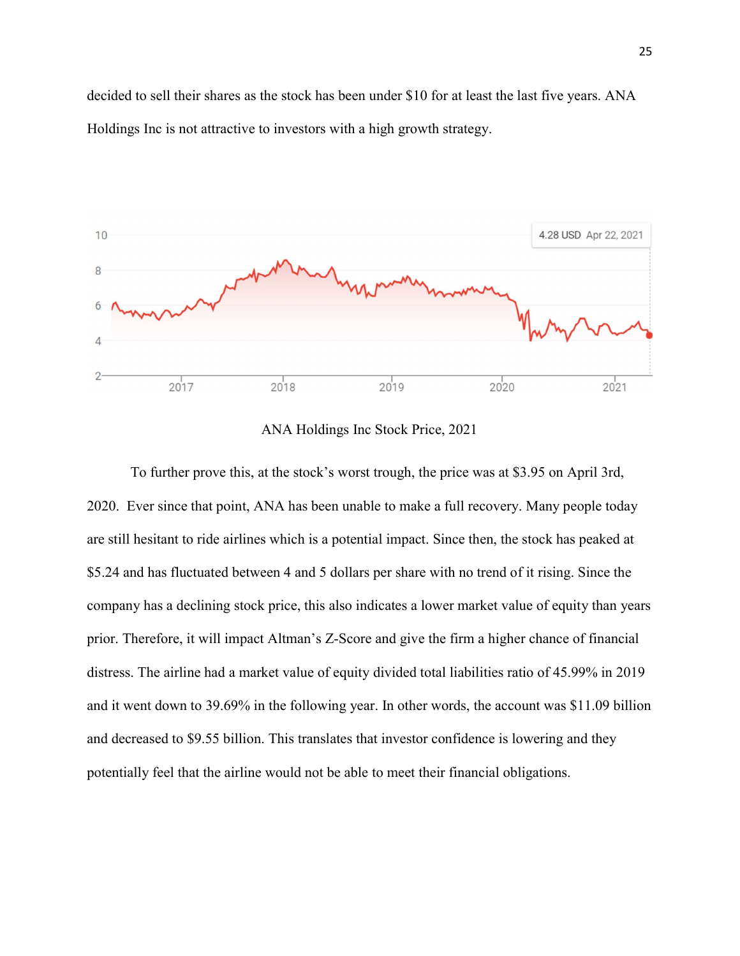decided to sell their shares as the stock has been under \$10 for at least the last five years. ANA Holdings Inc is not attractive to investors with a high growth strategy.



ANA Holdings Inc Stock Price, 2021

To further prove this, at the stock's worst trough, the price was at \$3.95 on April 3rd, 2020. Ever since that point, ANA has been unable to make a full recovery. Many people today are still hesitant to ride airlines which is a potential impact. Since then, the stock has peaked at \$5.24 and has fluctuated between 4 and 5 dollars per share with no trend of it rising. Since the company has a declining stock price, this also indicates a lower market value of equity than years prior. Therefore, it will impact Altman's Z-Score and give the firm a higher chance of financial distress. The airline had a market value of equity divided total liabilities ratio of 45.99% in 2019 and it went down to 39.69% in the following year. In other words, the account was \$11.09 billion and decreased to \$9.55 billion. This translates that investor confidence is lowering and they potentially feel that the airline would not be able to meet their financial obligations.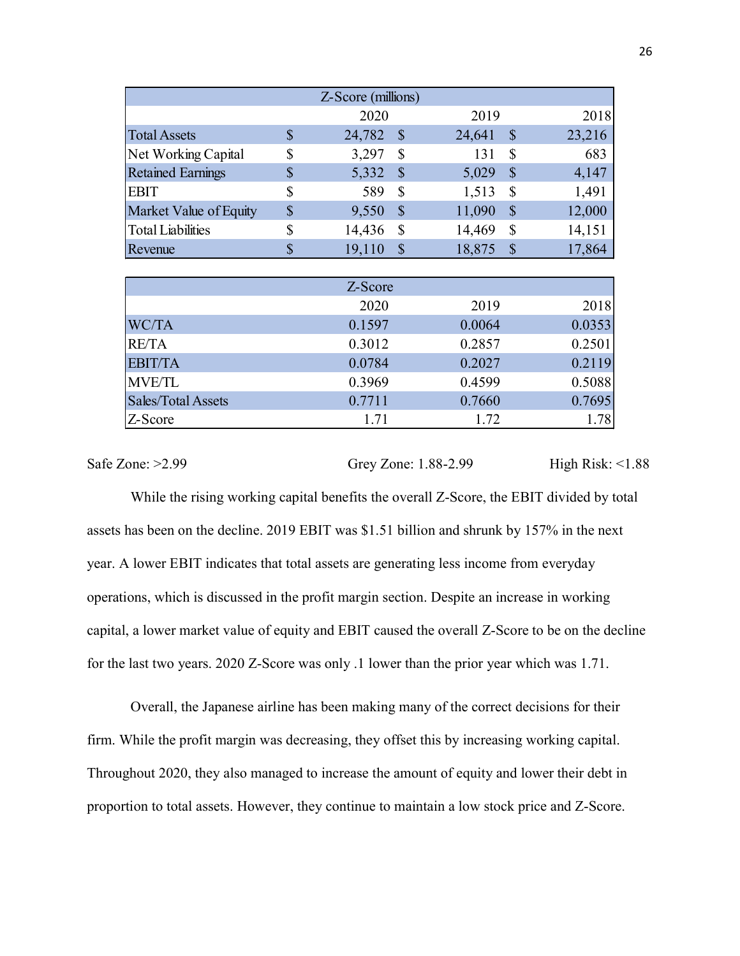|                          |                           | Z-Score (millions) |                            |                      |                           |                  |
|--------------------------|---------------------------|--------------------|----------------------------|----------------------|---------------------------|------------------|
|                          |                           |                    |                            |                      |                           |                  |
|                          |                           |                    |                            |                      |                           |                  |
|                          |                           |                    |                            |                      |                           |                  |
|                          |                           |                    |                            |                      |                           |                  |
|                          |                           |                    |                            |                      |                           |                  |
|                          |                           |                    |                            |                      |                           |                  |
|                          |                           |                    |                            |                      |                           |                  |
|                          |                           |                    |                            |                      |                           |                  |
|                          |                           |                    |                            |                      |                           |                  |
|                          |                           |                    |                            |                      |                           |                  |
|                          |                           |                    |                            |                      |                           |                  |
|                          |                           |                    |                            |                      |                           |                  |
|                          |                           | 2020               |                            | 2019                 |                           | 2018             |
| <b>Total Assets</b>      | $\boldsymbol{\mathsf{S}}$ | 24,782 \$          |                            | 24,641               | $\mathbb{S}$              | 23,216           |
| Net Working Capital      | \$                        | 3,297              | $\boldsymbol{\mathsf{S}}$  | 131                  | $\mathbb S$               | 683              |
| <b>Retained Earnings</b> | $\boldsymbol{\$}$         | 5,332              | $\boldsymbol{\mathsf{S}}$  | 5,029                | $\mathcal{S}$             | 4,147            |
| <b>EBIT</b>              | \$                        | 589                | $\mathbb{S}$               | 1,513                | $\boldsymbol{\mathsf{S}}$ | 1,491            |
| Market Value of Equity   | $\boldsymbol{\$}$         | 9,550              | $\mathcal{S}$              | 11,090               | $\mathcal{S}$             | 12,000           |
| <b>Total Liabilities</b> | \$                        | 14,436             | $\boldsymbol{\mathsf{S}}$  | 14,469               | $\mathbb S$               | 14,151           |
| Revenue                  | $\boldsymbol{\mathsf{S}}$ | 19,110             | $\boldsymbol{\mathcal{S}}$ | 18,875               | $\sqrt{\$}$               | 17,864           |
|                          |                           | Z-Score            |                            |                      |                           |                  |
|                          |                           | 2020               |                            | 2019                 |                           | 2018             |
| WC/TA                    |                           | 0.1597             |                            | 0.0064               |                           | 0.0353           |
| <b>RE/TA</b>             |                           | 0.3012             |                            | 0.2857               |                           | 0.2501           |
| <b>EBIT/TA</b>           |                           | 0.0784             |                            | 0.2027               |                           | 0.2119           |
| <b>MVE/TL</b>            |                           | 0.3969             |                            | 0.4599               |                           | 0.5088           |
| Sales/Total Assets       |                           | 0.7711             |                            | 0.7660               |                           | 0.7695           |
| Z-Score                  |                           | 1.71               |                            | 1.72                 |                           | 1.78             |
| $\text{Cone}: \ge 2.99$  |                           |                    |                            | Grey Zone: 1.88-2.99 |                           | High Risk: <1.88 |

|                    | Z-Score |        |        |
|--------------------|---------|--------|--------|
|                    | 2020    | 2019   | 2018   |
| <b>WC/TA</b>       | 0.1597  | 0.0064 | 0.0353 |
| <b>RE/TA</b>       | 0.3012  | 0.2857 | 0.2501 |
| <b>EBIT/TA</b>     | 0.0784  | 0.2027 | 0.2119 |
| <b>MVE/TL</b>      | 0.3969  | 0.4599 | 0.5088 |
| Sales/Total Assets | 0.7711  | 0.7660 | 0.7695 |
| Z-Score            | 1.71    | 1.72   | 1.78   |

Safe Zone: >2.99 Grey Zone: 1.88-2.99 High Risk: <1.88

While the rising working capital benefits the overall Z-Score, the EBIT divided by total assets has been on the decline. 2019 EBIT was \$1.51 billion and shrunk by 157% in the next year. A lower EBIT indicates that total assets are generating less income from everyday operations, which is discussed in the profit margin section. Despite an increase in working capital, a lower market value of equity and EBIT caused the overall Z-Score to be on the decline for the last two years. 2020 Z-Score was only .1 lower than the prior year which was 1.71.

 Overall, the Japanese airline has been making many of the correct decisions for their firm. While the profit margin was decreasing, they offset this by increasing working capital. Throughout 2020, they also managed to increase the amount of equity and lower their debt in proportion to total assets. However, they continue to maintain a low stock price and Z-Score.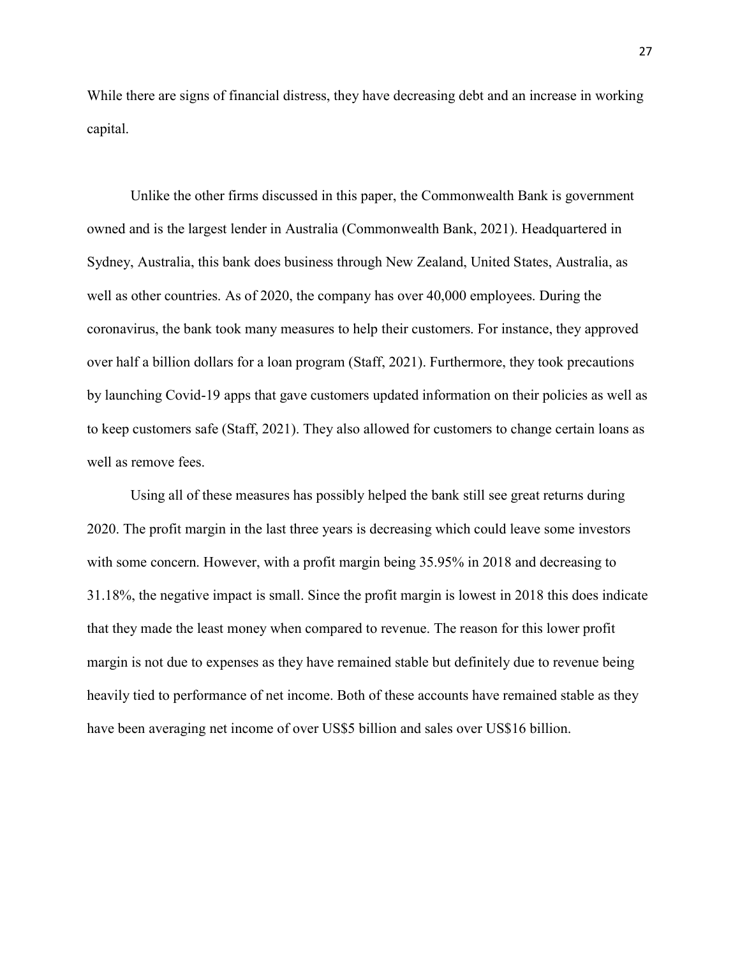While there are signs of financial distress, they have decreasing debt and an increase in working capital.

Unlike the other firms discussed in this paper, the Commonwealth Bank is government owned and is the largest lender in Australia (Commonwealth Bank, 2021). Headquartered in Sydney, Australia, this bank does business through New Zealand, United States, Australia, as well as other countries. As of 2020, the company has over 40,000 employees. During the coronavirus, the bank took many measures to help their customers. For instance, they approved over half a billion dollars for a loan program (Staff, 2021). Furthermore, they took precautions by launching Covid-19 apps that gave customers updated information on their policies as well as to keep customers safe (Staff, 2021). They also allowed for customers to change certain loans as well as remove fees.

Using all of these measures has possibly helped the bank still see great returns during 2020. The profit margin in the last three years is decreasing which could leave some investors with some concern. However, with a profit margin being 35.95% in 2018 and decreasing to 31.18%, the negative impact is small. Since the profit margin is lowest in 2018 this does indicate that they made the least money when compared to revenue. The reason for this lower profit margin is not due to expenses as they have remained stable but definitely due to revenue being heavily tied to performance of net income. Both of these accounts have remained stable as they have been averaging net income of over US\$5 billion and sales over US\$16 billion.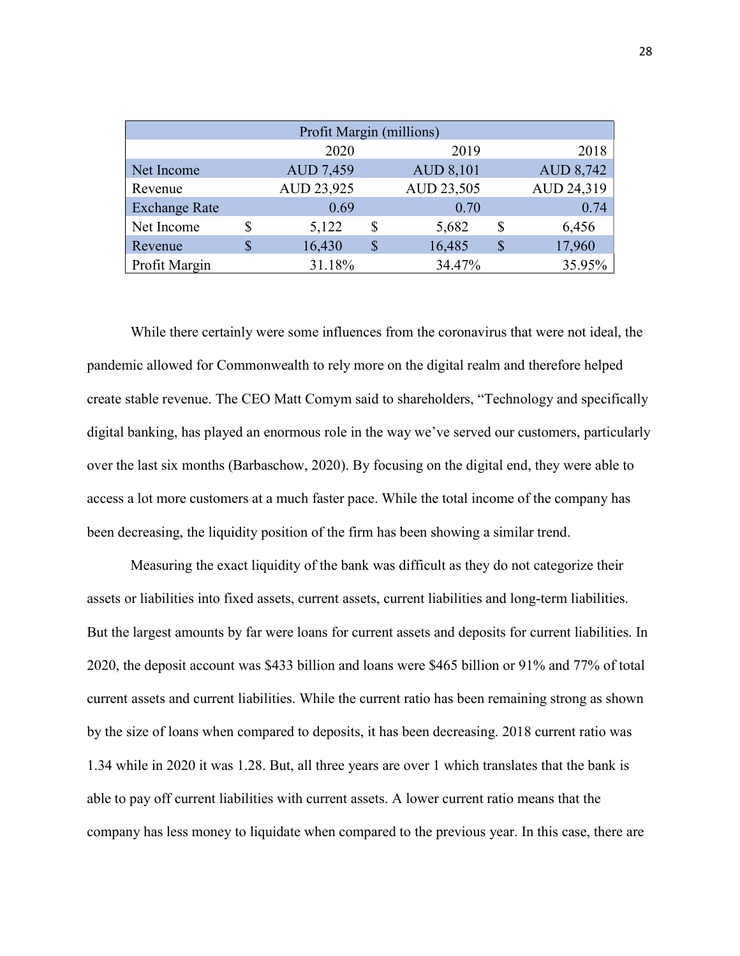|                      | Profit Margin (millions) |    |                  |   |                  |
|----------------------|--------------------------|----|------------------|---|------------------|
|                      | 2020                     |    | 2019             |   | 2018             |
| Net Income           | AUD 7,459                |    | <b>AUD 8,101</b> |   | <b>AUD 8,742</b> |
| Revenue              | AUD 23,925               |    | AUD 23,505       |   | AUD 24,319       |
| <b>Exchange Rate</b> | 0.69                     |    | 0.70             |   | 0.74             |
| Net Income           | 5,122                    | S  | 5,682            | S | 6,456            |
| Revenue              | 16,430                   | \$ | 16,485           | S | 17,960           |
| Profit Margin        | 31.18%                   |    | 34.47%           |   | 35.95%           |

While there certainly were some influences from the coronavirus that were not ideal, the pandemic allowed for Commonwealth to rely more on the digital realm and therefore helped create stable revenue. The CEO Matt Comym said to shareholders, "Technology and specifically digital banking, has played an enormous role in the way we've served our customers, particularly over the last six months (Barbaschow, 2020). By focusing on the digital end, they were able to access a lot more customers at a much faster pace. While the total income of the company has been decreasing, the liquidity position of the firm has been showing a similar trend.

Measuring the exact liquidity of the bank was difficult as they do not categorize their assets or liabilities into fixed assets, current assets, current liabilities and long-term liabilities. But the largest amounts by far were loans for current assets and deposits for current liabilities. In 2020, the deposit account was \$433 billion and loans were \$465 billion or 91% and 77% of total current assets and current liabilities. While the current ratio has been remaining strong as shown by the size of loans when compared to deposits, it has been decreasing. 2018 current ratio was 1.34 while in 2020 it was 1.28. But, all three years are over 1 which translates that the bank is able to pay off current liabilities with current assets. A lower current ratio means that the company has less money to liquidate when compared to the previous year. In this case, there are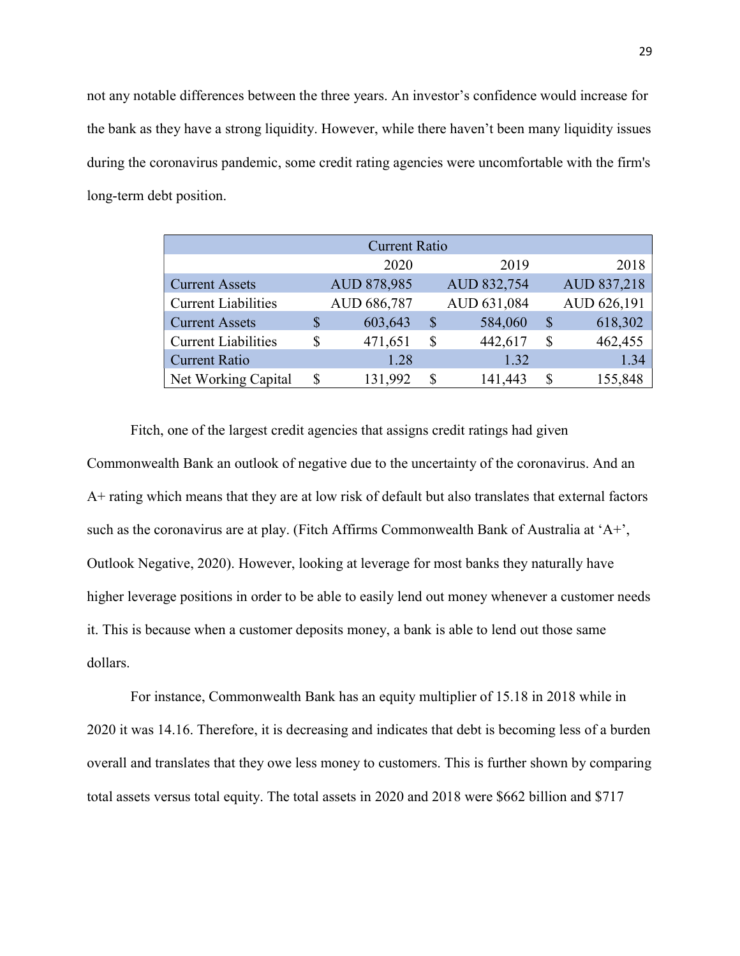not any notable differences between the three years. An investor's confidence would increase for the bank as they have a strong liquidity. However, while there haven't been many liquidity issues during the coronavirus pandemic, some credit rating agencies were uncomfortable with the firm's long-term debt position.

|                            |   | <b>Current Ratio</b> |              |             |               |             |
|----------------------------|---|----------------------|--------------|-------------|---------------|-------------|
|                            |   | 2020                 |              | 2019        |               | 2018        |
| <b>Current Assets</b>      |   | AUD 878,985          |              | AUD 832,754 |               | AUD 837,218 |
| <b>Current Liabilities</b> |   | AUD 686,787          |              | AUD 631,084 |               | AUD 626,191 |
| <b>Current Assets</b>      | S | 603,643              | $\mathbb{S}$ | 584,060     | $\mathcal{S}$ | 618,302     |
| <b>Current Liabilities</b> | S | 471,651              | S            | 442,617     | \$            | 462,455     |
| <b>Current Ratio</b>       |   | 1.28                 |              | 1.32        |               | 1.34        |
| Net Working Capital        | S | 131,992              | S            | 141,443     |               | 155,848     |

Fitch, one of the largest credit agencies that assigns credit ratings had given Commonwealth Bank an outlook of negative due to the uncertainty of the coronavirus. And an A+ rating which means that they are at low risk of default but also translates that external factors such as the coronavirus are at play. (Fitch Affirms Commonwealth Bank of Australia at 'A+', Outlook Negative, 2020). However, looking at leverage for most banks they naturally have higher leverage positions in order to be able to easily lend out money whenever a customer needs it. This is because when a customer deposits money, a bank is able to lend out those same dollars.

For instance, Commonwealth Bank has an equity multiplier of 15.18 in 2018 while in 2020 it was 14.16. Therefore, it is decreasing and indicates that debt is becoming less of a burden overall and translates that they owe less money to customers. This is further shown by comparing total assets versus total equity. The total assets in 2020 and 2018 were \$662 billion and \$717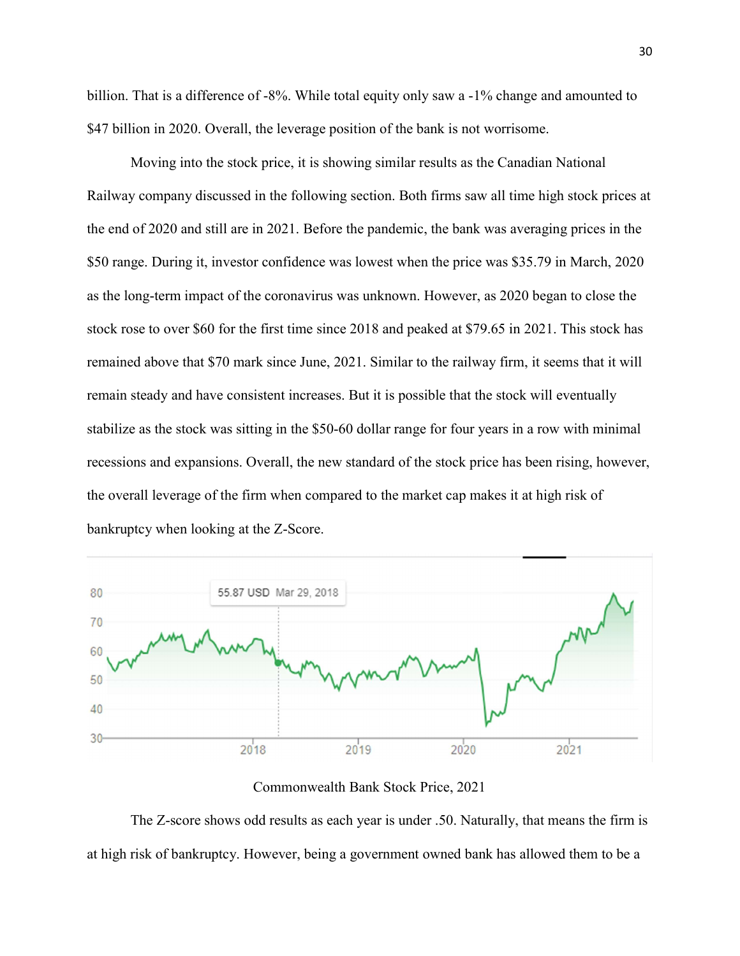billion. That is a difference of -8%. While total equity only saw a -1% change and amounted to \$47 billion in 2020. Overall, the leverage position of the bank is not worrisome.

Moving into the stock price, it is showing similar results as the Canadian National Railway company discussed in the following section. Both firms saw all time high stock prices at the end of 2020 and still are in 2021. Before the pandemic, the bank was averaging prices in the \$50 range. During it, investor confidence was lowest when the price was \$35.79 in March, 2020 as the long-term impact of the coronavirus was unknown. However, as 2020 began to close the stock rose to over \$60 for the first time since 2018 and peaked at \$79.65 in 2021. This stock has remained above that \$70 mark since June, 2021. Similar to the railway firm, it seems that it will remain steady and have consistent increases. But it is possible that the stock will eventually stabilize as the stock was sitting in the \$50-60 dollar range for four years in a row with minimal recessions and expansions. Overall, the new standard of the stock price has been rising, however, the overall leverage of the firm when compared to the market cap makes it at high risk of bankruptcy when looking at the Z-Score.



#### Commonwealth Bank Stock Price, 2021

The Z-score shows odd results as each year is under .50. Naturally, that means the firm is at high risk of bankruptcy. However, being a government owned bank has allowed them to be a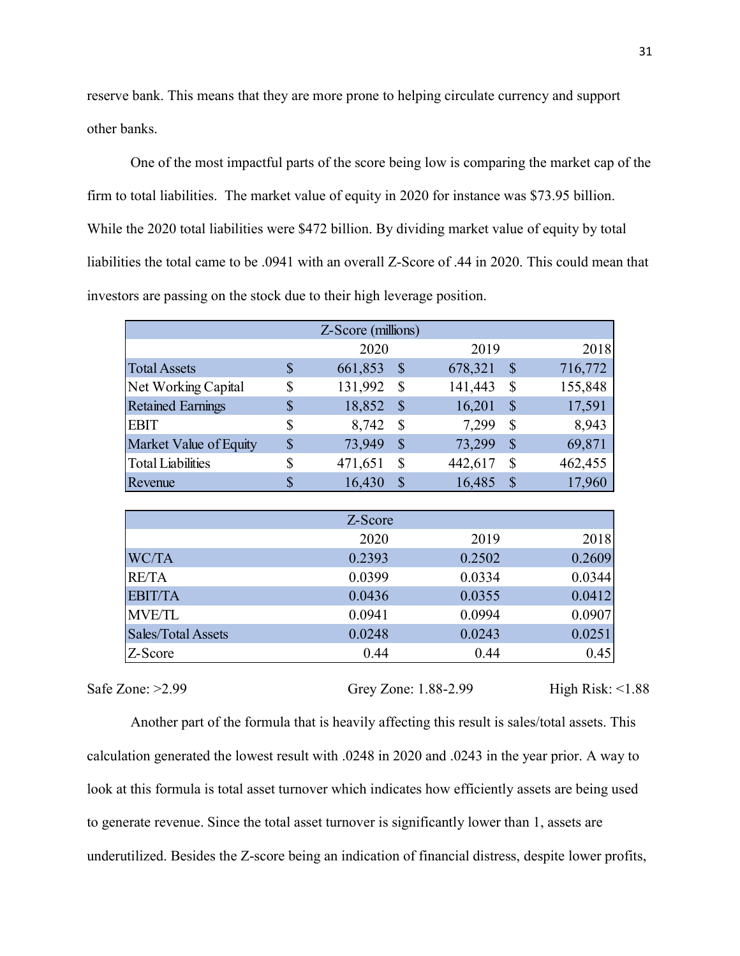reserve bank. This means that they are more prone to helping circulate currency and support other banks.

One of the most impactful parts of the score being low is comparing the market cap of the firm to total liabilities. The market value of equity in 2020 for instance was \$73.95 billion. While the 2020 total liabilities were \$472 billion. By dividing market value of equity by total liabilities the total came to be .0941 with an overall Z-Score of .44 in 2020. This could mean that investors are passing on the stock due to their high leverage position. 31<br>
one to helping circulate currency and support<br>
core being low is comparing the market cap of the<br>
uity in 2020 for instance was \$73.95 billion.<br>
In. By dividing market value of equity by total<br>
reall Z-Score of .44 in bank. This means that they are more prone to helping circulate currency and support<br>
anks.<br>
One of the most impactful parts of the score being low is comparing the market cap of the<br>
total liabilities. The market value of bank. This means that they are more prone to helping circulate currency and support<br>
anks.<br>
One of the most impactful parts of the score being low is comparing the market cap of the<br>
total liabilities. The market value of

|                                                                                               |                           |                    |                        |                      |               | e bank. This means that they are more prone to helping circulate currency and support |
|-----------------------------------------------------------------------------------------------|---------------------------|--------------------|------------------------|----------------------|---------------|---------------------------------------------------------------------------------------|
| )anks.                                                                                        |                           |                    |                        |                      |               |                                                                                       |
| One of the most impactful parts of the score being low is comparing the market cap of the     |                           |                    |                        |                      |               |                                                                                       |
| o total liabilities. The market value of equity in 2020 for instance was \$73.95 billion.     |                           |                    |                        |                      |               |                                                                                       |
| the 2020 total liabilities were \$472 billion. By dividing market value of equity by total    |                           |                    |                        |                      |               |                                                                                       |
| ies the total came to be .0941 with an overall Z-Score of .44 in 2020. This could mean that   |                           |                    |                        |                      |               |                                                                                       |
|                                                                                               |                           |                    |                        |                      |               |                                                                                       |
| ors are passing on the stock due to their high leverage position.                             |                           |                    |                        |                      |               |                                                                                       |
|                                                                                               |                           | Z-Score (millions) |                        |                      |               |                                                                                       |
|                                                                                               |                           | 2020               |                        | 2019                 |               | 2018                                                                                  |
| <b>Total Assets</b>                                                                           | $\boldsymbol{\mathsf{S}}$ | 661,853 \$         |                        | 678,321 \$           |               | 716,772                                                                               |
| Net Working Capital                                                                           | \$                        | 131,992            | $\mathcal{S}$          | 141,443              | $\mathbb{S}$  | 155,848                                                                               |
| <b>Retained Earnings</b>                                                                      | \$                        | 18,852             | $\sqrt{\frac{2}{\pi}}$ | 16,201               | $\mathcal{S}$ | 17,591                                                                                |
| <b>EBIT</b>                                                                                   | \$                        | $8,742$ \$         |                        | 7,299 \$             |               | 8,943                                                                                 |
| Market Value of Equity                                                                        | $\mathbb{S}$              | 73,949             | $\sqrt{\ }$            | 73,299 \$            |               | 69,871                                                                                |
| <b>Total Liabilities</b>                                                                      | \$                        | 471,651            | $\mathbb{S}$           | 442,617              | $\mathcal{S}$ | 462,455                                                                               |
| Revenue                                                                                       | $\boldsymbol{\mathsf{S}}$ | $16,430$ \$        |                        | $16,485$ \$          |               | 17,960                                                                                |
|                                                                                               |                           | Z-Score            |                        |                      |               |                                                                                       |
|                                                                                               |                           | 2020               |                        | 2019                 |               | 2018                                                                                  |
| WC/TA                                                                                         |                           | 0.2393             |                        | 0.2502               |               | 0.2609                                                                                |
| <b>RE/TA</b>                                                                                  |                           | 0.0399             |                        | 0.0334               |               | 0.0344                                                                                |
| <b>EBIT/TA</b>                                                                                |                           | 0.0436             |                        | 0.0355               |               | 0.0412                                                                                |
| <b>MVE/TL</b>                                                                                 |                           | 0.0941             |                        | 0.0994               |               | 0.0907                                                                                |
| Sales/Total Assets                                                                            |                           | 0.0248             |                        | 0.0243               |               | 0.0251                                                                                |
| Z-Score                                                                                       |                           | 0.44               |                        | 0.44                 |               | 0.45                                                                                  |
| one: $>2.99$                                                                                  |                           |                    |                        | Grey Zone: 1.88-2.99 |               | High Risk: $\leq$ 1.88                                                                |
| Another part of the formula that is heavily affecting this result is sales/total assets. This |                           |                    |                        |                      |               |                                                                                       |

Safe Zone: >2.99 Grey Zone: 1.88-2.99 High Risk: <1.88

Another part of the formula that is heavily affecting this result is sales/total assets. This calculation generated the lowest result with .0248 in 2020 and .0243 in the year prior. A way to look at this formula is total asset turnover which indicates how efficiently assets are being used to generate revenue. Since the total asset turnover is significantly lower than 1, assets are underutilized. Besides the Z-score being an indication of financial distress, despite lower profits,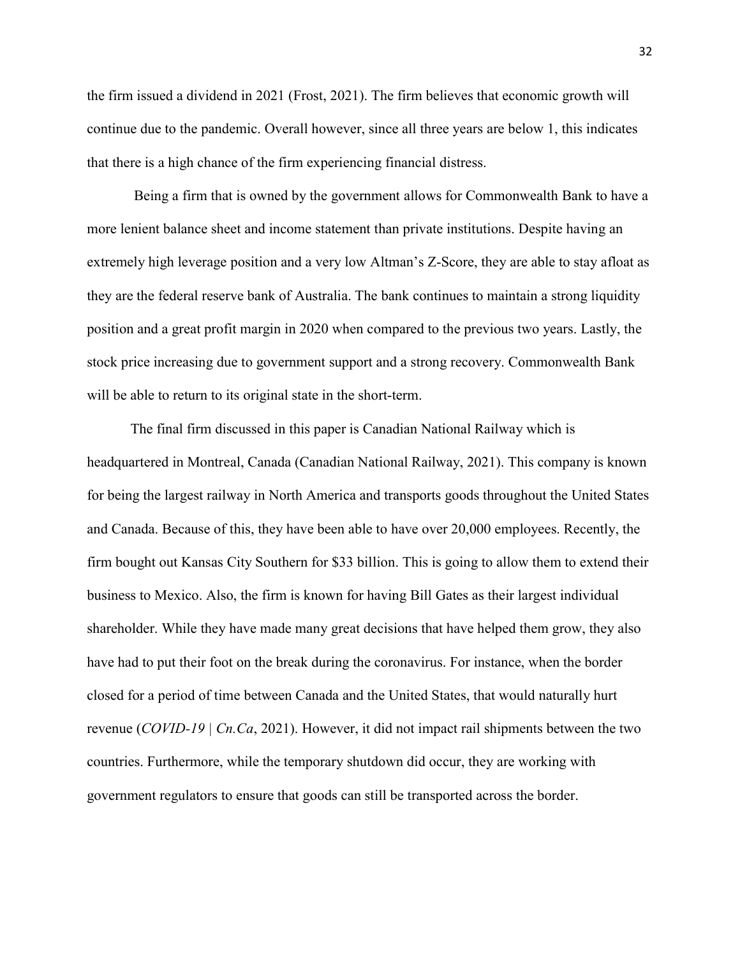the firm issued a dividend in 2021 (Frost, 2021). The firm believes that economic growth will continue due to the pandemic. Overall however, since all three years are below 1, this indicates that there is a high chance of the firm experiencing financial distress.

 Being a firm that is owned by the government allows for Commonwealth Bank to have a more lenient balance sheet and income statement than private institutions. Despite having an extremely high leverage position and a very low Altman's Z-Score, they are able to stay afloat as they are the federal reserve bank of Australia. The bank continues to maintain a strong liquidity position and a great profit margin in 2020 when compared to the previous two years. Lastly, the stock price increasing due to government support and a strong recovery. Commonwealth Bank will be able to return to its original state in the short-term.

The final firm discussed in this paper is Canadian National Railway which is headquartered in Montreal, Canada (Canadian National Railway, 2021). This company is known for being the largest railway in North America and transports goods throughout the United States and Canada. Because of this, they have been able to have over 20,000 employees. Recently, the firm bought out Kansas City Southern for \$33 billion. This is going to allow them to extend their business to Mexico. Also, the firm is known for having Bill Gates as their largest individual shareholder. While they have made many great decisions that have helped them grow, they also have had to put their foot on the break during the coronavirus. For instance, when the border closed for a period of time between Canada and the United States, that would naturally hurt revenue (COVID-19 | Cn.Ca, 2021). However, it did not impact rail shipments between the two countries. Furthermore, while the temporary shutdown did occur, they are working with government regulators to ensure that goods can still be transported across the border.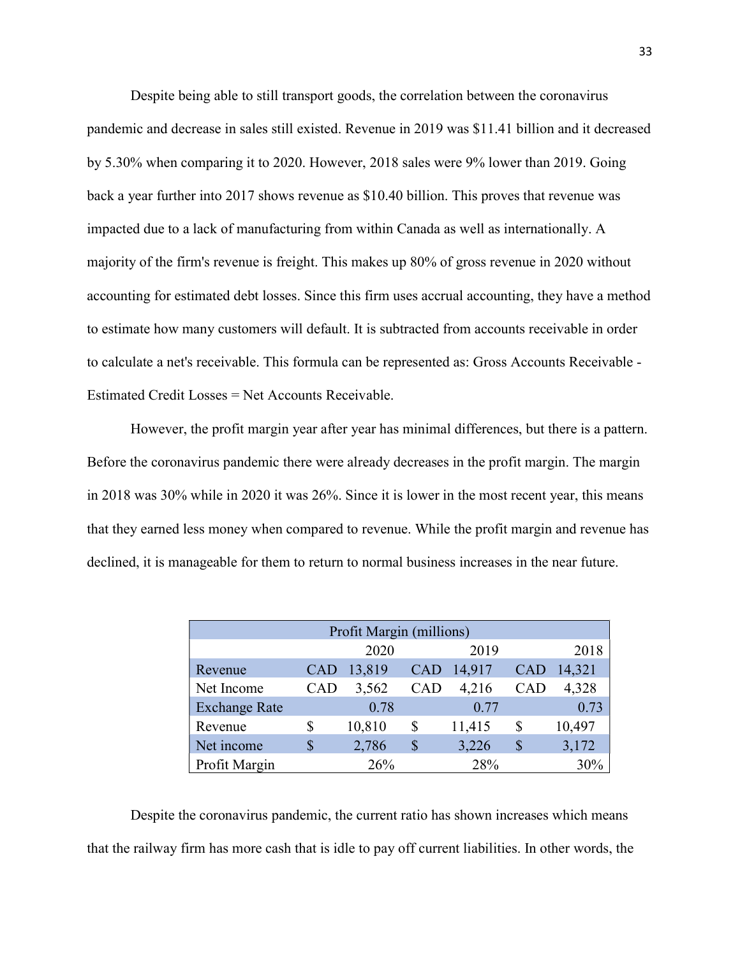Despite being able to still transport goods, the correlation between the coronavirus pandemic and decrease in sales still existed. Revenue in 2019 was \$11.41 billion and it decreased by 5.30% when comparing it to 2020. However, 2018 sales were 9% lower than 2019. Going back a year further into 2017 shows revenue as \$10.40 billion. This proves that revenue was impacted due to a lack of manufacturing from within Canada as well as internationally. A majority of the firm's revenue is freight. This makes up 80% of gross revenue in 2020 without accounting for estimated debt losses. Since this firm uses accrual accounting, they have a method to estimate how many customers will default. It is subtracted from accounts receivable in order to calculate a net's receivable. This formula can be represented as: Gross Accounts Receivable - Estimated Credit Losses = Net Accounts Receivable.

However, the profit margin year after year has minimal differences, but there is a pattern. Before the coronavirus pandemic there were already decreases in the profit margin. The margin in 2018 was 30% while in 2020 it was 26%. Since it is lower in the most recent year, this means that they earned less money when compared to revenue. While the profit margin and revenue has declined, it is manageable for them to return to normal business increases in the near future.

|                      |     | Profit Margin (millions) |            |        |            |        |
|----------------------|-----|--------------------------|------------|--------|------------|--------|
|                      |     | 2020                     |            | 2019   |            | 2018   |
| Revenue              | CAD | 13,819                   | <b>CAD</b> | 14,917 | <b>CAD</b> | 14,321 |
| Net Income           | CAD | 3,562                    | <b>CAD</b> | 4,216  | <b>CAD</b> | 4,328  |
| <b>Exchange Rate</b> |     | 0.78                     |            | 0.77   |            | 0.73   |
| Revenue              |     | 10,810                   | \$         | 11,415 | S          | 10,497 |
| Net income           |     | 2,786                    | \$         | 3,226  | S          | 3,172  |
| Profit Margin        |     | 26%                      |            | 28%    |            | 30%    |

Despite the coronavirus pandemic, the current ratio has shown increases which means that the railway firm has more cash that is idle to pay off current liabilities. In other words, the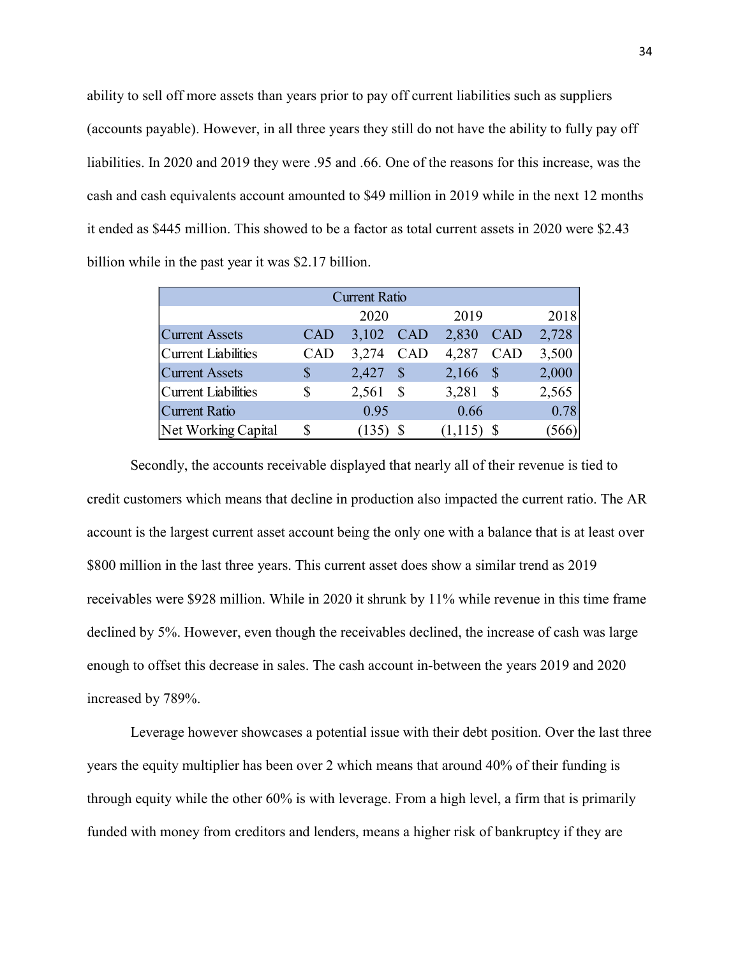ability to sell off more assets than years prior to pay off current liabilities such as suppliers (accounts payable). However, in all three years they still do not have the ability to fully pay off liabilities. In 2020 and 2019 they were .95 and .66. One of the reasons for this increase, was the cash and cash equivalents account amounted to \$49 million in 2019 while in the next 12 months it ended as \$445 million. This showed to be a factor as total current assets in 2020 were \$2.43 billion while in the past year it was \$2.17 billion. 34<br>34<br>
b pay off current liabilities such as suppliers<br>
they still do not have the ability to fully pay off<br>
.66. One of the reasons for this increase, was the<br>
\$49 million in 2019 while in the next 12 months<br>
actor as to 34<br>
off more assets than years prior to pay off current liabilities such as suppliers<br>
yable). However, in all three years they still do not have the ability to fully pay off<br>
2020 and 2019 they were .95 and .66. One of t 34<br>
off more assets than years prior to pay off current liabilities such as suppliers<br>
yable). However, in all three years they still do not have the ability to fully pay off<br>
2020 and 2019 they were .95 and .66. One of t off more assets than years prior to pay off current liabilities such as suppliers<br>
yable). However, in all three years they still do not have the ability to fully pay off<br>
2020 and 2019 they were .95 and .66. One of the r off more assets than years prior to pay off current liabilities such as suppliers<br>
yable). However, in all three years they still do not have the ability to fully pay off<br>
2020 and 2019 they were .95 and .66. One of the r or more asses analyses providely on earlien mannies such as suppress<br>
able). However, in all three years they still do not have the ability to fully pay off<br>
2020 and 2019 they were .95 and .66. One of the reasons for thi pable). However, in all three years they still do not have the ability to fully pay off<br>
2020 and 2019 they were .95 and .66. One of the reasons for this increase, was the<br>
equivalents account amounted to \$49 million in 20

|                       |            | <b>Current Ratio</b> |            |         |            |       |
|-----------------------|------------|----------------------|------------|---------|------------|-------|
|                       |            | 2020                 |            | 2019    |            | 2018  |
| <b>Current Assets</b> | <b>CAD</b> | 3,102                | <b>CAD</b> | 2,830   | <b>CAD</b> | 2,728 |
| Current Liabilities   | CAD        | 3,274                | <b>CAD</b> | 4,287   | <b>CAD</b> | 3,500 |
| <b>Current Assets</b> | \$         | 2,427                | S          | 2,166   | S          | 2,000 |
| Current Liabilities   | \$         | 2,561                | \$         | 3,281   | \$         | 2,565 |
| <b>Current Ratio</b>  |            | 0.95                 |            | 0.66    |            | 0.78  |
| Net Working Capital   | S          |                      |            | (1,115) |            |       |

Secondly, the accounts receivable displayed that nearly all of their revenue is tied to credit customers which means that decline in production also impacted the current ratio. The AR account is the largest current asset account being the only one with a balance that is at least over \$800 million in the last three years. This current asset does show a similar trend as 2019 receivables were \$928 million. While in 2020 it shrunk by 11% while revenue in this time frame declined by 5%. However, even though the receivables declined, the increase of cash was large enough to offset this decrease in sales. The cash account in-between the years 2019 and 2020 increased by 789%.

 Leverage however showcases a potential issue with their debt position. Over the last three years the equity multiplier has been over 2 which means that around 40% of their funding is through equity while the other 60% is with leverage. From a high level, a firm that is primarily funded with money from creditors and lenders, means a higher risk of bankruptcy if they are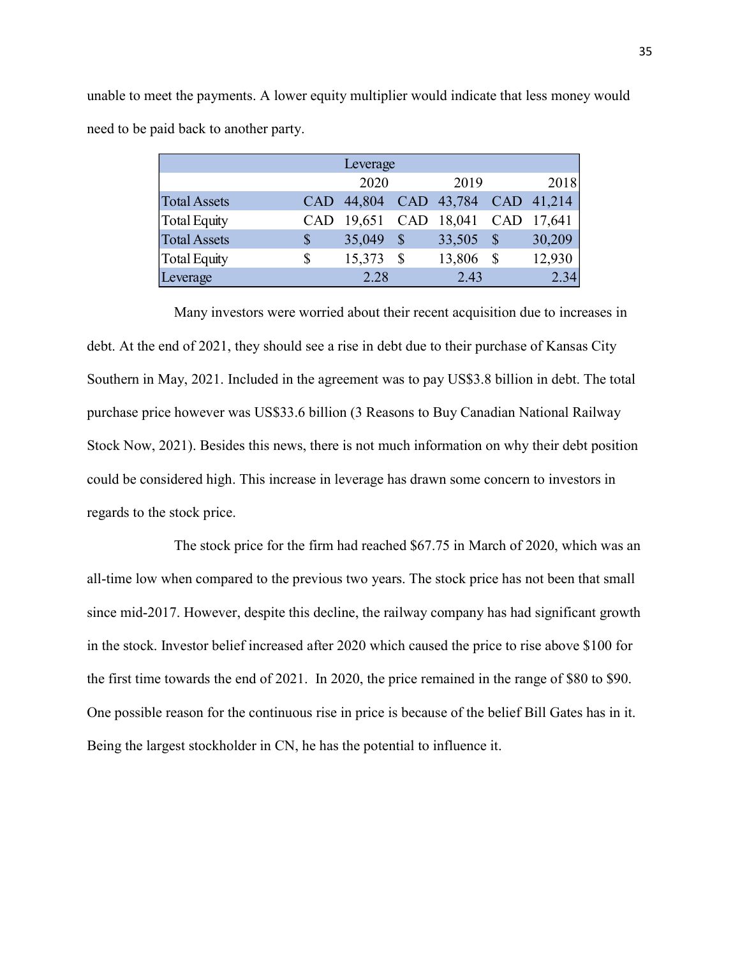| eet the payments. A lower equity multiplier would indicate that less money would |               |            |              |        |              |            |
|----------------------------------------------------------------------------------|---------------|------------|--------------|--------|--------------|------------|
|                                                                                  |               |            |              |        |              |            |
| aid back to another party.                                                       |               |            |              |        |              |            |
|                                                                                  |               | Leverage   |              |        |              |            |
|                                                                                  |               | 2020       |              | 2019   |              | 2018       |
| <b>Total Assets</b>                                                              | CAD           | 44,804     | CAD          | 43,784 |              | CAD 41,214 |
| <b>Total Equity</b>                                                              |               | CAD 19,651 | CAD          | 18,041 |              | CAD 17,641 |
| <b>Total Assets</b>                                                              | $\mathcal{S}$ | 35,049     | $\sqrt{\ }$  | 33,505 | $\sqrt{\$}$  | 30,209     |
| <b>Total Equity</b>                                                              | \$            | 15,373     | $\mathbb{S}$ | 13,806 | $\mathbb{S}$ | 12,930     |

unable to meet the payments. A lower equity multiplier would indicate that less money would need to be paid back to another party.

 Many investors were worried about their recent acquisition due to increases in debt. At the end of 2021, they should see a rise in debt due to their purchase of Kansas City Southern in May, 2021. Included in the agreement was to pay US\$3.8 billion in debt. The total purchase price however was US\$33.6 billion (3 Reasons to Buy Canadian National Railway Stock Now, 2021). Besides this news, there is not much information on why their debt position could be considered high. This increase in leverage has drawn some concern to investors in regards to the stock price.

 The stock price for the firm had reached \$67.75 in March of 2020, which was an all-time low when compared to the previous two years. The stock price has not been that small since mid-2017. However, despite this decline, the railway company has had significant growth in the stock. Investor belief increased after 2020 which caused the price to rise above \$100 for the first time towards the end of 2021. In 2020, the price remained in the range of \$80 to \$90. One possible reason for the continuous rise in price is because of the belief Bill Gates has in it. Being the largest stockholder in CN, he has the potential to influence it.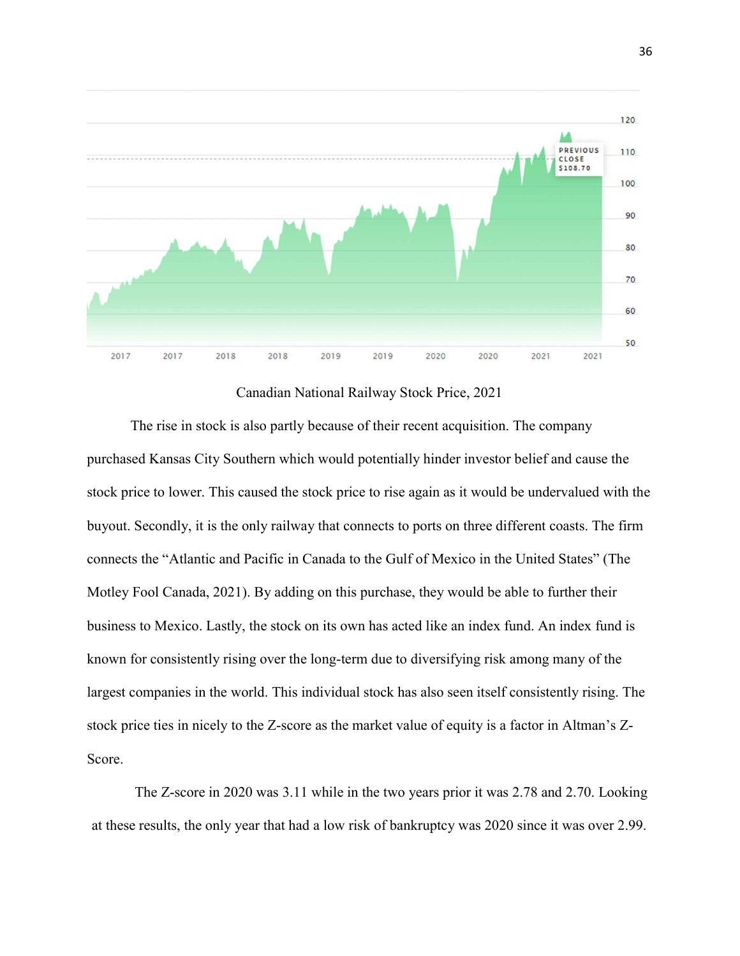

Canadian National Railway Stock Price, 2021

The rise in stock is also partly because of their recent acquisition. The company purchased Kansas City Southern which would potentially hinder investor belief and cause the stock price to lower. This caused the stock price to rise again as it would be undervalued with the buyout. Secondly, it is the only railway that connects to ports on three different coasts. The firm connects the "Atlantic and Pacific in Canada to the Gulf of Mexico in the United States" (The Motley Fool Canada, 2021). By adding on this purchase, they would be able to further their business to Mexico. Lastly, the stock on its own has acted like an index fund. An index fund is known for consistently rising over the long-term due to diversifying risk among many of the largest companies in the world. This individual stock has also seen itself consistently rising. The stock price ties in nicely to the Z-score as the market value of equity is a factor in Altman's Z-Score.

The Z-score in 2020 was 3.11 while in the two years prior it was 2.78 and 2.70. Looking at these results, the only year that had a low risk of bankruptcy was 2020 since it was over 2.99.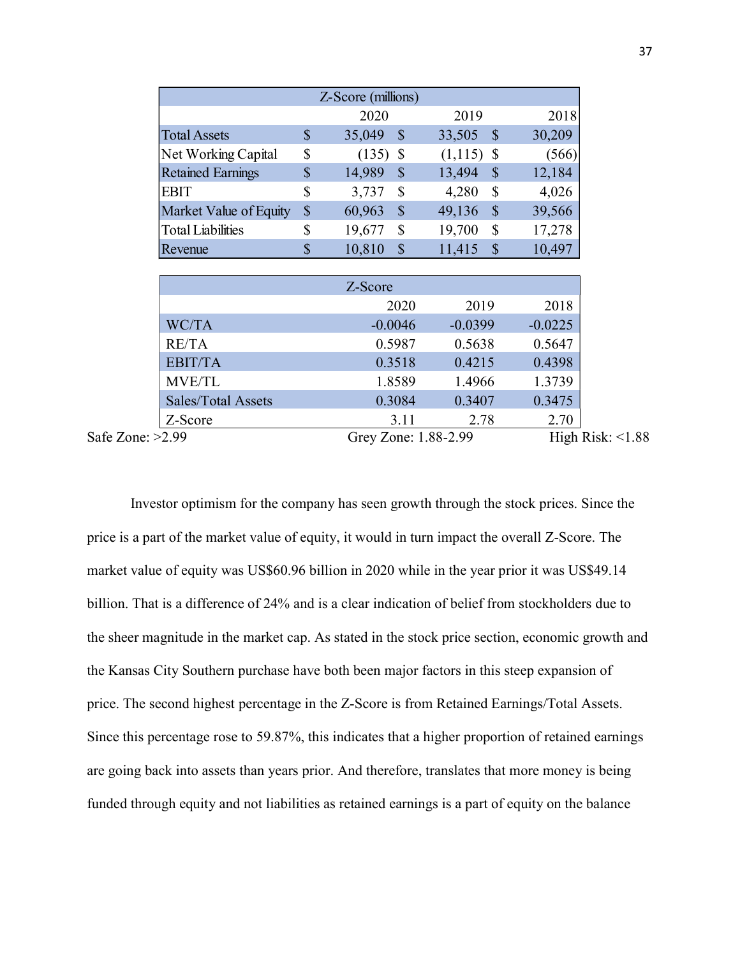|                          |                            | Z-Score (millions)                  |                                     |                  |
|--------------------------|----------------------------|-------------------------------------|-------------------------------------|------------------|
|                          |                            | 2020                                | 2019                                | 2018             |
| <b>Total Assets</b>      | $\boldsymbol{\mathcal{S}}$ | $\mathcal{S}$<br>35,049             | 33,505<br>$\mathbb{S}$              | 30,209           |
| Net Working Capital      | $\$$                       | $(135)$ \$                          | $(1,115)$ \$                        | (566)            |
|                          | $\boldsymbol{\$}$          | 14,989<br>$\mathcal{S}$             | 13,494<br>$\boldsymbol{\mathsf{S}}$ | 12,184           |
| <b>Retained Earnings</b> |                            |                                     |                                     |                  |
| <b>EBIT</b>              | $\$$                       | 3,737<br>$\boldsymbol{\mathsf{S}}$  | $\$$<br>4,280                       | 4,026            |
| Market Value of Equity   | $\mathbb{S}$               | 60,963<br>$\mathcal{S}$             | 49,136<br>$\mathbb{S}$              | 39,566           |
| <b>Total Liabilities</b> | \$                         | 19,677<br>$\boldsymbol{\mathsf{S}}$ | 19,700<br>$\$$                      | 17,278           |
| Revenue                  | $\boldsymbol{\mathsf{S}}$  | $\mathcal{S}$<br>10,810             | 11,415<br>$\mathcal{S}$             | 10,497           |
|                          |                            |                                     |                                     |                  |
|                          |                            | Z-Score                             |                                     |                  |
|                          |                            | 2020                                | 2019                                | 2018             |
| WC/TA                    |                            | $-0.0046$                           | $-0.0399$                           | $-0.0225$        |
| RE/TA<br><b>EBIT/TA</b>  |                            | 0.5987<br>0.3518                    | 0.5638<br>0.4215                    | 0.5647<br>0.4398 |

Sales/Total Assets 0.3084 0.3407 0.3475 Z-Score 3.11 2.78 2.70

Safe Zone: >2.99 Grey Zone: 1.88-2.99 High Risk: <1.88

Investor optimism for the company has seen growth through the stock prices. Since the price is a part of the market value of equity, it would in turn impact the overall Z-Score. The market value of equity was US\$60.96 billion in 2020 while in the year prior it was US\$49.14 billion. That is a difference of 24% and is a clear indication of belief from stockholders due to the sheer magnitude in the market cap. As stated in the stock price section, economic growth and the Kansas City Southern purchase have both been major factors in this steep expansion of price. The second highest percentage in the Z-Score is from Retained Earnings/Total Assets. Since this percentage rose to 59.87%, this indicates that a higher proportion of retained earnings are going back into assets than years prior. And therefore, translates that more money is being funded through equity and not liabilities as retained earnings is a part of equity on the balance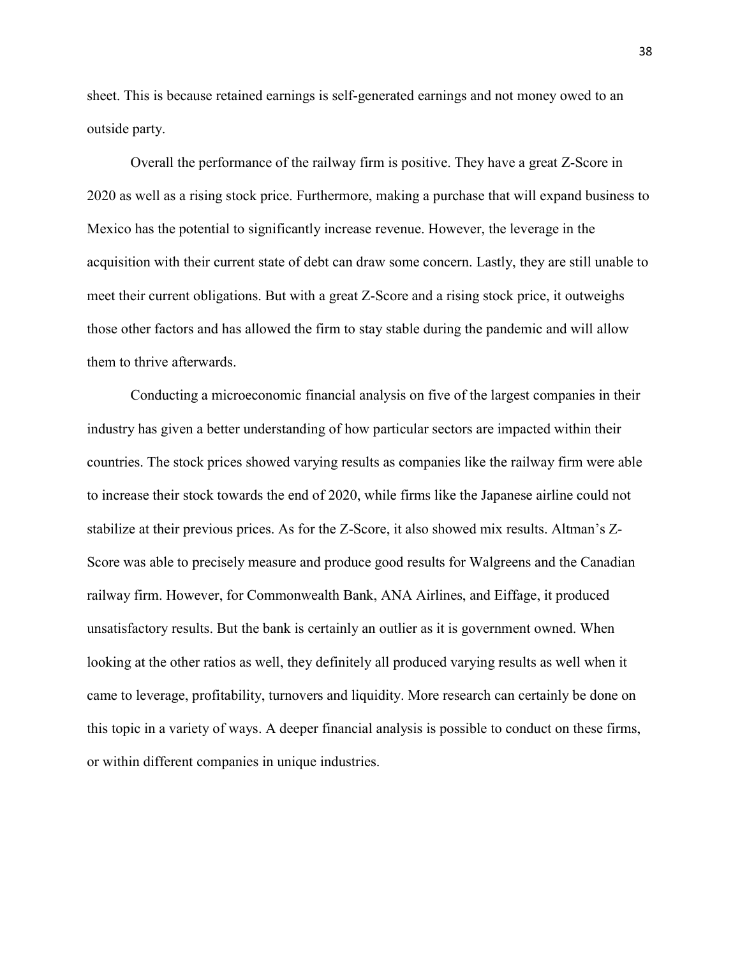sheet. This is because retained earnings is self-generated earnings and not money owed to an outside party.

 Overall the performance of the railway firm is positive. They have a great Z-Score in 2020 as well as a rising stock price. Furthermore, making a purchase that will expand business to Mexico has the potential to significantly increase revenue. However, the leverage in the acquisition with their current state of debt can draw some concern. Lastly, they are still unable to meet their current obligations. But with a great Z-Score and a rising stock price, it outweighs those other factors and has allowed the firm to stay stable during the pandemic and will allow them to thrive afterwards.

 Conducting a microeconomic financial analysis on five of the largest companies in their industry has given a better understanding of how particular sectors are impacted within their countries. The stock prices showed varying results as companies like the railway firm were able to increase their stock towards the end of 2020, while firms like the Japanese airline could not stabilize at their previous prices. As for the Z-Score, it also showed mix results. Altman's Z-Score was able to precisely measure and produce good results for Walgreens and the Canadian railway firm. However, for Commonwealth Bank, ANA Airlines, and Eiffage, it produced unsatisfactory results. But the bank is certainly an outlier as it is government owned. When looking at the other ratios as well, they definitely all produced varying results as well when it came to leverage, profitability, turnovers and liquidity. More research can certainly be done on this topic in a variety of ways. A deeper financial analysis is possible to conduct on these firms, or within different companies in unique industries.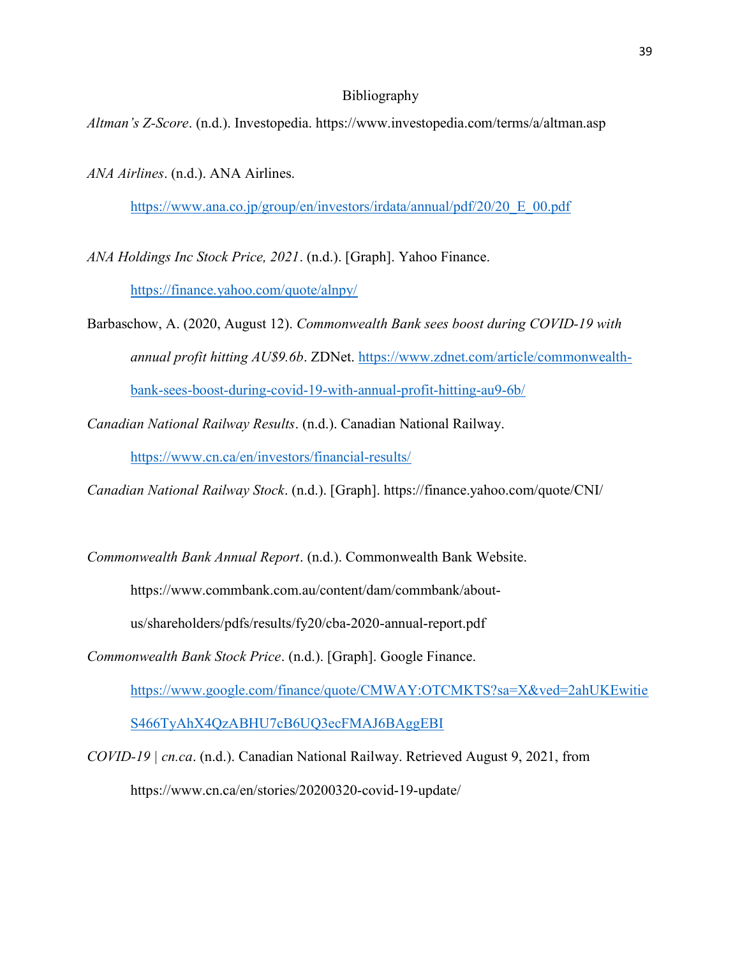### Bibliography

Altman's Z-Score. (n.d.). Investopedia. https://www.investopedia.com/terms/a/altman.asp

ANA Airlines. (n.d.). ANA Airlines.

https://www.ana.co.jp/group/en/investors/irdata/annual/pdf/20/20\_E\_00.pdf

ANA Holdings Inc Stock Price, 2021. (n.d.). [Graph]. Yahoo Finance.

https://finance.yahoo.com/quote/alnpy/

- Barbaschow, A. (2020, August 12). Commonwealth Bank sees boost during COVID-19 with annual profit hitting AU\$9.6b. ZDNet. https://www.zdnet.com/article/commonwealthbank-sees-boost-during-covid-19-with-annual-profit-hitting-au9-6b/
- Canadian National Railway Results. (n.d.). Canadian National Railway.

https://www.cn.ca/en/investors/financial-results/

Canadian National Railway Stock. (n.d.). [Graph]. https://finance.yahoo.com/quote/CNI/

Commonwealth Bank Annual Report. (n.d.). Commonwealth Bank Website.

https://www.commbank.com.au/content/dam/commbank/about-

us/shareholders/pdfs/results/fy20/cba-2020-annual-report.pdf

Commonwealth Bank Stock Price. (n.d.). [Graph]. Google Finance.

https://www.google.com/finance/quote/CMWAY:OTCMKTS?sa=X&ved=2ahUKEwitie

S466TyAhX4QzABHU7cB6UQ3ecFMAJ6BAggEBI

COVID-19 | cn.ca. (n.d.). Canadian National Railway. Retrieved August 9, 2021, from https://www.cn.ca/en/stories/20200320-covid-19-update/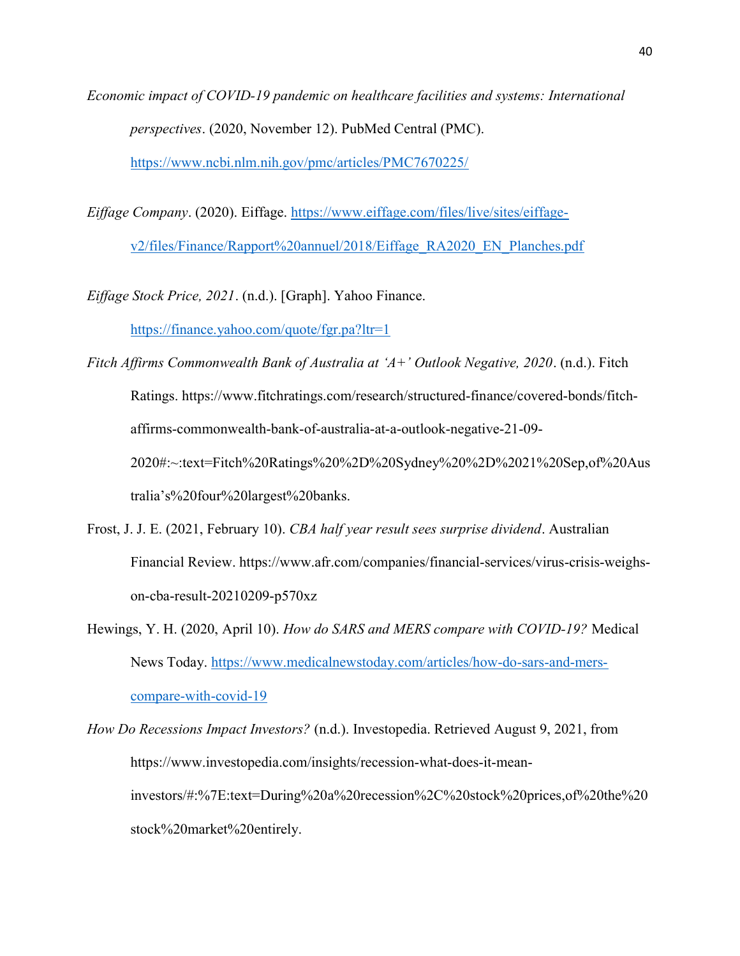Economic impact of COVID-19 pandemic on healthcare facilities and systems: International perspectives. (2020, November 12). PubMed Central (PMC). https://www.ncbi.nlm.nih.gov/pmc/articles/PMC7670225/

Eiffage Company. (2020). Eiffage. https://www.eiffage.com/files/live/sites/eiffagev2/files/Finance/Rapport%20annuel/2018/Eiffage\_RA2020\_EN\_Planches.pdf

Eiffage Stock Price, 2021. (n.d.). [Graph]. Yahoo Finance.

https://finance.yahoo.com/quote/fgr.pa?ltr=1

Fitch Affirms Commonwealth Bank of Australia at 'A+' Outlook Negative, 2020. (n.d.). Fitch Ratings. https://www.fitchratings.com/research/structured-finance/covered-bonds/fitchaffirms-commonwealth-bank-of-australia-at-a-outlook-negative-21-09- 2020#:~:text=Fitch%20Ratings%20%2D%20Sydney%20%2D%2021%20Sep,of%20Aus tralia's%20four%20largest%20banks.

- Frost, J. J. E. (2021, February 10). CBA half year result sees surprise dividend. Australian Financial Review. https://www.afr.com/companies/financial-services/virus-crisis-weighson-cba-result-20210209-p570xz
- Hewings, Y. H. (2020, April 10). How do SARS and MERS compare with COVID-19? Medical News Today. https://www.medicalnewstoday.com/articles/how-do-sars-and-merscompare-with-covid-19

How Do Recessions Impact Investors? (n.d.). Investopedia. Retrieved August 9, 2021, from https://www.investopedia.com/insights/recession-what-does-it-meaninvestors/#:%7E:text=During%20a%20recession%2C%20stock%20prices,of%20the%20 stock%20market%20entirely.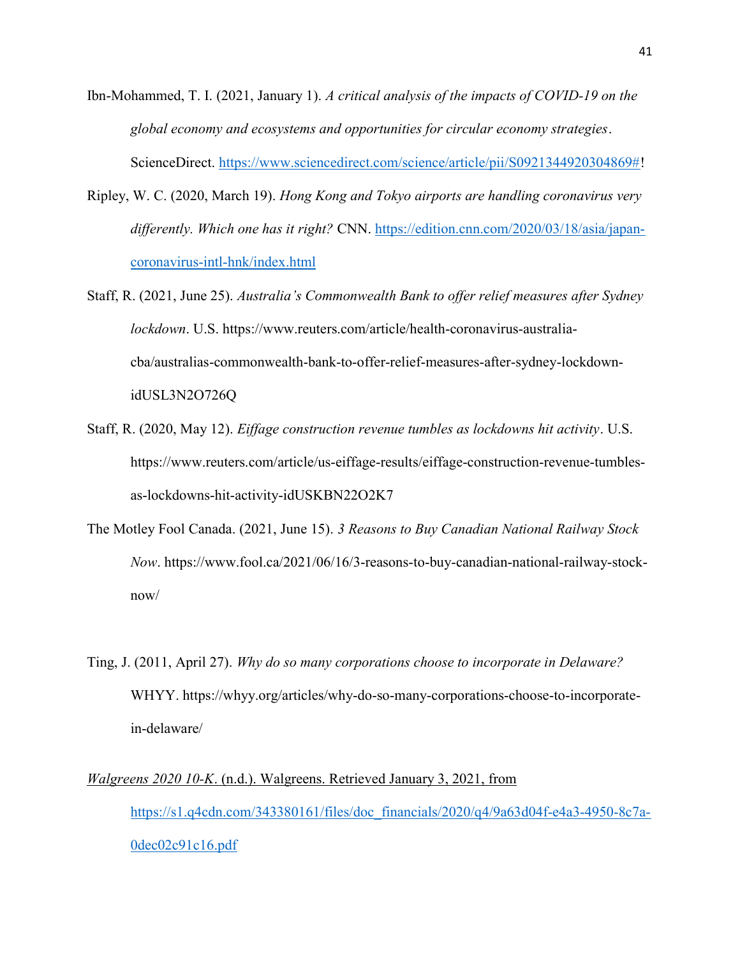- Ibn-Mohammed, T. I. (2021, January 1). A critical analysis of the impacts of COVID-19 on the global economy and ecosystems and opportunities for circular economy strategies. ScienceDirect. https://www.sciencedirect.com/science/article/pii/S0921344920304869#!
- Ripley, W. C. (2020, March 19). Hong Kong and Tokyo airports are handling coronavirus very differently. Which one has it right? CNN. https://edition.cnn.com/2020/03/18/asia/japancoronavirus-intl-hnk/index.html
- Staff, R. (2021, June 25). Australia's Commonwealth Bank to offer relief measures after Sydney lockdown. U.S. https://www.reuters.com/article/health-coronavirus-australiacba/australias-commonwealth-bank-to-offer-relief-measures-after-sydney-lockdownidUSL3N2O726Q
- Staff, R. (2020, May 12). Eiffage construction revenue tumbles as lockdowns hit activity. U.S. https://www.reuters.com/article/us-eiffage-results/eiffage-construction-revenue-tumblesas-lockdowns-hit-activity-idUSKBN22O2K7
- The Motley Fool Canada. (2021, June 15). 3 Reasons to Buy Canadian National Railway Stock Now. https://www.fool.ca/2021/06/16/3-reasons-to-buy-canadian-national-railway-stocknow/
- Ting, J. (2011, April 27). Why do so many corporations choose to incorporate in Delaware? WHYY. https://whyy.org/articles/why-do-so-many-corporations-choose-to-incorporatein-delaware/
- Walgreens 2020 10-K. (n.d.). Walgreens. Retrieved January 3, 2021, from https://s1.q4cdn.com/343380161/files/doc\_financials/2020/q4/9a63d04f-e4a3-4950-8c7a-0dec02c91c16.pdf